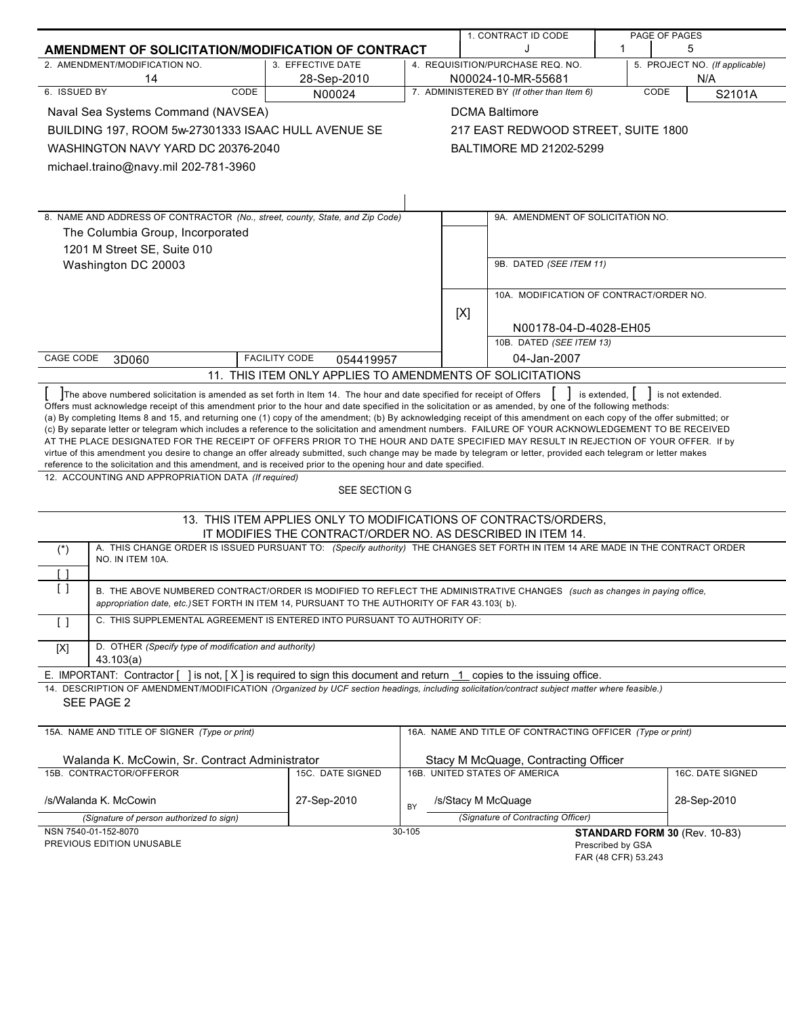|                                                                                                                                                                                                                                                                                                        |                                                           |                                                                    |     | 1. CONTRACT ID CODE                                                   |                     | PAGE OF PAGES                 |
|--------------------------------------------------------------------------------------------------------------------------------------------------------------------------------------------------------------------------------------------------------------------------------------------------------|-----------------------------------------------------------|--------------------------------------------------------------------|-----|-----------------------------------------------------------------------|---------------------|-------------------------------|
| $\mathbf 1$<br>AMENDMENT OF SOLICITATION/MODIFICATION OF CONTRACT                                                                                                                                                                                                                                      |                                                           |                                                                    | 5   |                                                                       |                     |                               |
| 2. AMENDMENT/MODIFICATION NO.                                                                                                                                                                                                                                                                          | 3. EFFECTIVE DATE                                         | 4. REQUISITION/PURCHASE REQ. NO.<br>5. PROJECT NO. (If applicable) |     |                                                                       |                     |                               |
| 14<br>6. ISSUED BY<br>CODE                                                                                                                                                                                                                                                                             | 28-Sep-2010                                               |                                                                    |     | N00024-10-MR-55681                                                    |                     | N/A<br>CODE                   |
| 7. ADMINISTERED BY (If other than Item 6)<br>S2101A<br>N00024                                                                                                                                                                                                                                          |                                                           |                                                                    |     |                                                                       |                     |                               |
| Naval Sea Systems Command (NAVSEA)                                                                                                                                                                                                                                                                     |                                                           |                                                                    |     | <b>DCMA Baltimore</b>                                                 |                     |                               |
| BUILDING 197, ROOM 5w-27301333 ISAAC HULL AVENUE SE                                                                                                                                                                                                                                                    |                                                           |                                                                    |     | 217 EAST REDWOOD STREET, SUITE 1800                                   |                     |                               |
| WASHINGTON NAVY YARD DC 20376-2040                                                                                                                                                                                                                                                                     |                                                           |                                                                    |     | <b>BALTIMORE MD 21202-5299</b>                                        |                     |                               |
| michael.traino@navy.mil 202-781-3960                                                                                                                                                                                                                                                                   |                                                           |                                                                    |     |                                                                       |                     |                               |
|                                                                                                                                                                                                                                                                                                        |                                                           |                                                                    |     |                                                                       |                     |                               |
|                                                                                                                                                                                                                                                                                                        |                                                           |                                                                    |     |                                                                       |                     |                               |
| 8. NAME AND ADDRESS OF CONTRACTOR (No., street, county, State, and Zip Code)                                                                                                                                                                                                                           |                                                           |                                                                    |     | 9A. AMENDMENT OF SOLICITATION NO.                                     |                     |                               |
| The Columbia Group, Incorporated                                                                                                                                                                                                                                                                       |                                                           |                                                                    |     |                                                                       |                     |                               |
| 1201 M Street SE, Suite 010                                                                                                                                                                                                                                                                            |                                                           |                                                                    |     |                                                                       |                     |                               |
| Washington DC 20003                                                                                                                                                                                                                                                                                    |                                                           |                                                                    |     | 9B. DATED (SEE ITEM 11)                                               |                     |                               |
|                                                                                                                                                                                                                                                                                                        |                                                           |                                                                    |     |                                                                       |                     |                               |
|                                                                                                                                                                                                                                                                                                        |                                                           |                                                                    |     | 10A. MODIFICATION OF CONTRACT/ORDER NO.                               |                     |                               |
|                                                                                                                                                                                                                                                                                                        |                                                           |                                                                    | [X] |                                                                       |                     |                               |
|                                                                                                                                                                                                                                                                                                        |                                                           |                                                                    |     | N00178-04-D-4028-EH05                                                 |                     |                               |
|                                                                                                                                                                                                                                                                                                        |                                                           |                                                                    |     | 10B. DATED (SEE ITEM 13)                                              |                     |                               |
| CAGE CODE<br>3D060                                                                                                                                                                                                                                                                                     | <b>FACILITY CODE</b><br>054419957                         |                                                                    |     | 04-Jan-2007                                                           |                     |                               |
|                                                                                                                                                                                                                                                                                                        | 11. THIS ITEM ONLY APPLIES TO AMENDMENTS OF SOLICITATIONS |                                                                    |     |                                                                       |                     |                               |
| The above numbered solicitation is amended as set forth in Item 14. The hour and date specified for receipt of Offers                                                                                                                                                                                  |                                                           |                                                                    |     |                                                                       | is extended.        | is not extended.              |
| Offers must acknowledge receipt of this amendment prior to the hour and date specified in the solicitation or as amended, by one of the following methods:                                                                                                                                             |                                                           |                                                                    |     |                                                                       |                     |                               |
| (a) By completing Items 8 and 15, and returning one (1) copy of the amendment; (b) By acknowledging receipt of this amendment on each copy of the offer submitted; or                                                                                                                                  |                                                           |                                                                    |     |                                                                       |                     |                               |
| (c) By separate letter or telegram which includes a reference to the solicitation and amendment numbers. FAILURE OF YOUR ACKNOWLEDGEMENT TO BE RECEIVED                                                                                                                                                |                                                           |                                                                    |     |                                                                       |                     |                               |
| AT THE PLACE DESIGNATED FOR THE RECEIPT OF OFFERS PRIOR TO THE HOUR AND DATE SPECIFIED MAY RESULT IN REJECTION OF YOUR OFFER. If by<br>virtue of this amendment you desire to change an offer already submitted, such change may be made by telegram or letter, provided each telegram or letter makes |                                                           |                                                                    |     |                                                                       |                     |                               |
| reference to the solicitation and this amendment, and is received prior to the opening hour and date specified.                                                                                                                                                                                        |                                                           |                                                                    |     |                                                                       |                     |                               |
| 12. ACCOUNTING AND APPROPRIATION DATA (If required)                                                                                                                                                                                                                                                    |                                                           |                                                                    |     |                                                                       |                     |                               |
|                                                                                                                                                                                                                                                                                                        | SEE SECTION G                                             |                                                                    |     |                                                                       |                     |                               |
|                                                                                                                                                                                                                                                                                                        |                                                           |                                                                    |     |                                                                       |                     |                               |
| 13. THIS ITEM APPLIES ONLY TO MODIFICATIONS OF CONTRACTS/ORDERS,<br>IT MODIFIES THE CONTRACT/ORDER NO. AS DESCRIBED IN ITEM 14.                                                                                                                                                                        |                                                           |                                                                    |     |                                                                       |                     |                               |
| A. THIS CHANGE ORDER IS ISSUED PURSUANT TO: (Specify authority) THE CHANGES SET FORTH IN ITEM 14 ARE MADE IN THE CONTRACT ORDER<br>$(*)$                                                                                                                                                               |                                                           |                                                                    |     |                                                                       |                     |                               |
| NO. IN ITEM 10A.                                                                                                                                                                                                                                                                                       |                                                           |                                                                    |     |                                                                       |                     |                               |
| $\lceil$ 1                                                                                                                                                                                                                                                                                             |                                                           |                                                                    |     |                                                                       |                     |                               |
| $\left[ \ \right]$<br>B. THE ABOVE NUMBERED CONTRACT/ORDER IS MODIFIED TO REFLECT THE ADMINISTRATIVE CHANGES (such as changes in paying office,                                                                                                                                                        |                                                           |                                                                    |     |                                                                       |                     |                               |
| appropriation date, etc.) SET FORTH IN ITEM 14, PURSUANT TO THE AUTHORITY OF FAR 43.103(b).                                                                                                                                                                                                            |                                                           |                                                                    |     |                                                                       |                     |                               |
| C. THIS SUPPLEMENTAL AGREEMENT IS ENTERED INTO PURSUANT TO AUTHORITY OF:<br>$\lceil$ $\rceil$                                                                                                                                                                                                          |                                                           |                                                                    |     |                                                                       |                     |                               |
| D. OTHER (Specify type of modification and authority)                                                                                                                                                                                                                                                  |                                                           |                                                                    |     |                                                                       |                     |                               |
| [X]<br>43.103(a)                                                                                                                                                                                                                                                                                       |                                                           |                                                                    |     |                                                                       |                     |                               |
| E. IMPORTANT: Contractor [<br>] is not, [X] is required to sign this document and return 1 copies to the issuing office.                                                                                                                                                                               |                                                           |                                                                    |     |                                                                       |                     |                               |
| 14. DESCRIPTION OF AMENDMENT/MODIFICATION (Organized by UCF section headings, including solicitation/contract subject matter where feasible.)                                                                                                                                                          |                                                           |                                                                    |     |                                                                       |                     |                               |
| SEE PAGE 2                                                                                                                                                                                                                                                                                             |                                                           |                                                                    |     |                                                                       |                     |                               |
|                                                                                                                                                                                                                                                                                                        |                                                           |                                                                    |     |                                                                       |                     |                               |
| 15A. NAME AND TITLE OF SIGNER (Type or print)<br>16A. NAME AND TITLE OF CONTRACTING OFFICER (Type or print)                                                                                                                                                                                            |                                                           |                                                                    |     |                                                                       |                     |                               |
|                                                                                                                                                                                                                                                                                                        |                                                           |                                                                    |     |                                                                       |                     |                               |
| Walanda K. McCowin, Sr. Contract Administrator<br>15B. CONTRACTOR/OFFEROR                                                                                                                                                                                                                              | 15C. DATE SIGNED                                          |                                                                    |     | Stacy M McQuage, Contracting Officer<br>16B. UNITED STATES OF AMERICA |                     | 16C. DATE SIGNED              |
|                                                                                                                                                                                                                                                                                                        |                                                           |                                                                    |     |                                                                       |                     |                               |
| /s/Walanda K. McCowin                                                                                                                                                                                                                                                                                  | 27-Sep-2010                                               |                                                                    |     | /s/Stacy M McQuage                                                    |                     | 28-Sep-2010                   |
| (Signature of person authorized to sign)                                                                                                                                                                                                                                                               |                                                           | BY                                                                 |     | (Signature of Contracting Officer)                                    |                     |                               |
| NSN 7540-01-152-8070                                                                                                                                                                                                                                                                                   |                                                           | 30-105                                                             |     |                                                                       |                     | STANDARD FORM 30 (Rev. 10-83) |
| PREVIOUS EDITION UNUSABLE                                                                                                                                                                                                                                                                              |                                                           |                                                                    |     |                                                                       | Prescribed by GSA   |                               |
|                                                                                                                                                                                                                                                                                                        |                                                           |                                                                    |     |                                                                       | FAR (48 CFR) 53.243 |                               |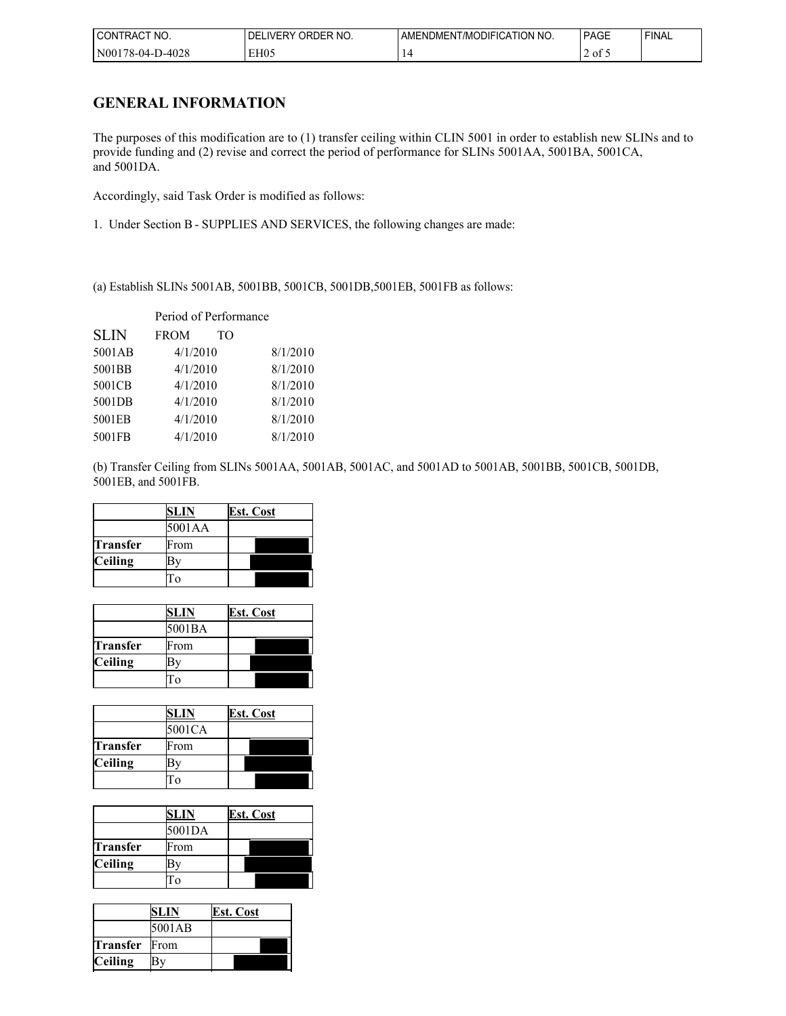| 'NO.<br>CON<br>⊒RA∟                         | ∩RDER NC<br>IVFR'<br>' NO.<br>. . ) ⊢ | ' NO.<br>' ATION:<br><b>JDIFIC</b><br>l /MC<br><b>AMENDMENT</b> | $\sim$<br>יAG∟<br>______ | <b>FINAL</b> |
|---------------------------------------------|---------------------------------------|-----------------------------------------------------------------|--------------------------|--------------|
| ۱∩∩۵<br>N <sub>00</sub><br>/X-04-<br>2-4028 | EH05<br>. .                           |                                                                 | $\sim$<br>ot 5           |              |

## **GENERAL INFORMATION**

The purposes of this modification are to (1) transfer ceiling within CLIN 5001 in order to establish new SLINs and to provide funding and (2) revise and correct the period of performance for SLINs 5001AA, 5001BA, 5001CA, and 5001DA.

Accordingly, said Task Order is modified as follows:

1. Under Section B - SUPPLIES AND SERVICES, the following changes are made:

(a) Establish SLINs 5001AB, 5001BB, 5001CB, 5001DB,5001EB, 5001FB as follows:

| Period of Performance |                   |          |
|-----------------------|-------------------|----------|
| <b>SLIN</b>           | <b>FROM</b><br>TO |          |
| 5001AB                | 4/1/2010          | 8/1/2010 |
| 5001BB                | 4/1/2010          | 8/1/2010 |
| 5001CB                | 4/1/2010          | 8/1/2010 |
| 5001DB                | 4/1/2010          | 8/1/2010 |
| 5001EB                | 4/1/2010          | 8/1/2010 |
| 5001FB                | 4/1/2010          | 8/1/2010 |

(b) Transfer Ceiling from SLINs 5001AA, 5001AB, 5001AC, and 5001AD to 5001AB, 5001BB, 5001CB, 5001DB, 5001EB, and 5001FB.

|          | SLIN   | <b>Est. Cost</b> |
|----------|--------|------------------|
|          | 5001AA |                  |
| Transfer | From   |                  |
| Ceiling  |        |                  |
|          |        |                  |

|          | SLIN   | <b>Est. Cost</b> |
|----------|--------|------------------|
|          | 5001BA |                  |
| Transfer | From   |                  |
| Ceiling  |        |                  |
|          |        |                  |

|                | SLIN   | <b>Est. Cost</b> |
|----------------|--------|------------------|
|                | 5001CA |                  |
| Transfer       | From   |                  |
| <b>Ceiling</b> |        |                  |
|                |        |                  |

|          | SLIN   | <b>Est. Cost</b> |
|----------|--------|------------------|
|          | 5001DA |                  |
| Transfer | From   |                  |
| Ceiling  |        |                  |
|          |        |                  |

|                      | SLIN   | Est. Cost |
|----------------------|--------|-----------|
|                      | 5001AB |           |
| <b>Transfer</b> From |        |           |
| <b>Ceiling</b>       | Bv     |           |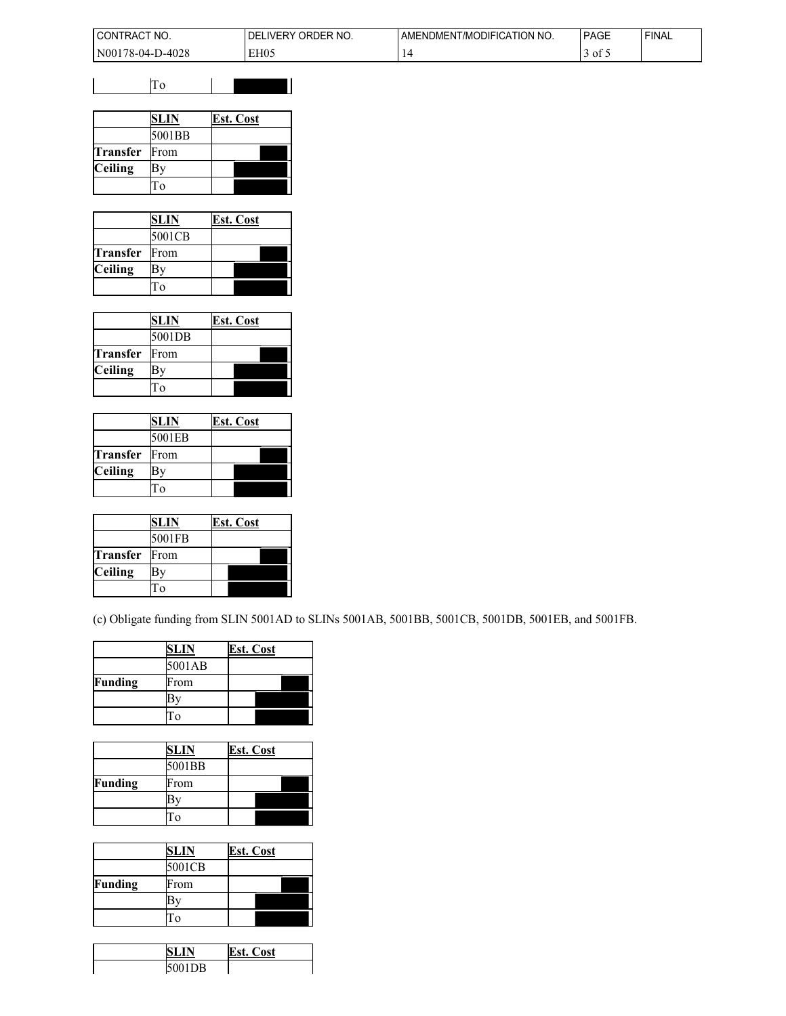| l CONTRACT<br>" NO.              | ORDER NO.<br>DF<br><b>IVERY</b> | ATION NO.<br>T/MODIFICA<br>"AMENDMENT. | <b>PAGE</b>                         | 'FINAL |
|----------------------------------|---------------------------------|----------------------------------------|-------------------------------------|--------|
| N001<br>D-4028<br>$1.6 - 04 - P$ | EH <sub>05</sub>                |                                        | $\cdot$ of $\overline{\phantom{a}}$ |        |

|          | SLIN     | <b>Est. Cost</b> |
|----------|----------|------------------|
|          | 5001BB   |                  |
| Transfer | From     |                  |
| Ceiling  |          |                  |
|          | $\Omega$ |                  |

|          | SLIN   | <b>Est. Cost</b> |
|----------|--------|------------------|
|          | 5001CB |                  |
| Transfer | From   |                  |
| Ceiling  |        |                  |
|          | Γo     |                  |

|          | SLIN   | Est. Cost |
|----------|--------|-----------|
|          | 5001DB |           |
| Transfer | From   |           |
| Ceiling  |        |           |
|          | ി      |           |

|                      | SLIN   | <b>Est. Cost</b> |
|----------------------|--------|------------------|
|                      | 5001EB |                  |
| <b>Transfer</b> From |        |                  |
| Ceiling              |        |                  |
|                      | ľο     |                  |

|                | SLIN   | <b>Est. Cost</b> |
|----------------|--------|------------------|
|                | 5001FB |                  |
| Transfer       | From   |                  |
| <b>Ceiling</b> |        |                  |
|                | O      |                  |

(c) Obligate funding from SLIN 5001AD to SLINs 5001AB, 5001BB, 5001CB, 5001DB, 5001EB, and 5001FB.

|         | SLIN     | <b>Est. Cost</b> |
|---------|----------|------------------|
|         | 5001AB   |                  |
| Funding | From     |                  |
|         |          |                  |
|         | $\Omega$ |                  |

|         | SLIN   | <b>Est. Cost</b> |
|---------|--------|------------------|
|         | 5001BB |                  |
| Funding | From   |                  |
|         |        |                  |
|         |        |                  |

|         | SLIN   | <b>Est. Cost</b> |
|---------|--------|------------------|
|         | 5001CB |                  |
| Funding | From   |                  |
|         |        |                  |
|         |        |                  |

| ſΝ   | <b>Est. Cost</b> |
|------|------------------|
| 01DB |                  |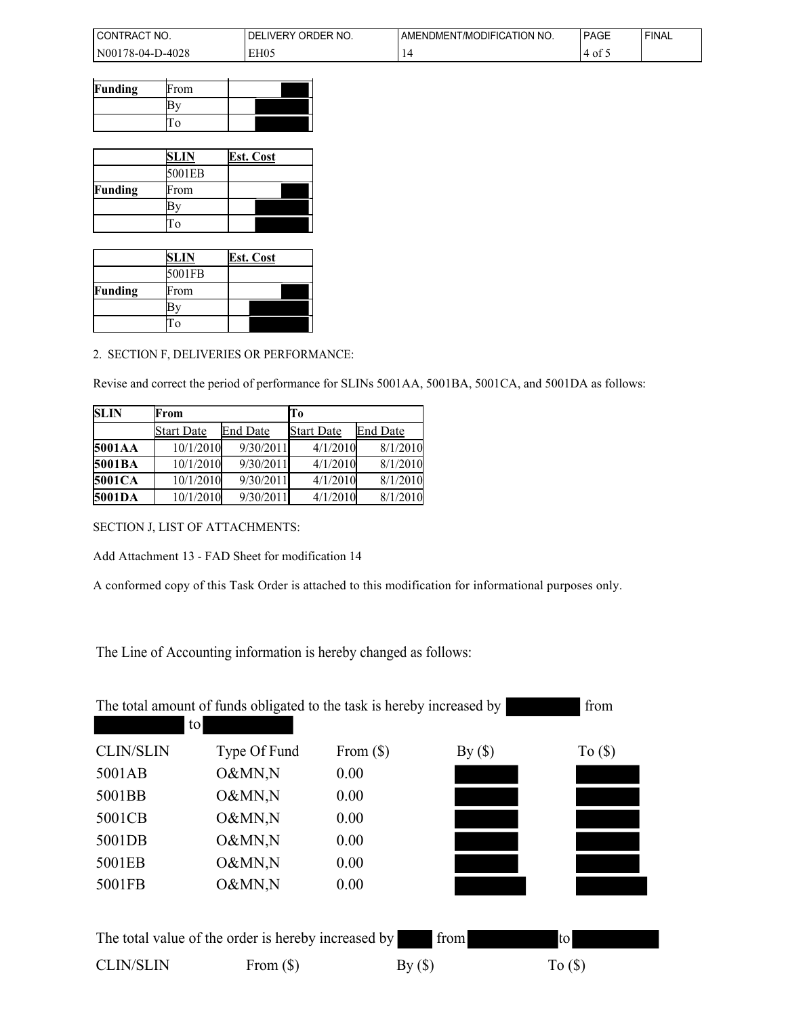| I CONT<br>'NO.<br>IRAC                              | ORDER NO.<br>IVFR'<br>⊣۱. | <b>ITION NO.</b><br>ODIFICA<br>AMENDMENT.<br>. /MC | <b>PAGE</b> | <b>FINAL</b> |
|-----------------------------------------------------|---------------------------|----------------------------------------------------|-------------|--------------|
| 1N00<br>۱۵۵۰<br>$1.6 - 04 - 1$<br>$1 - 407$<br>r∪∠∪ | EH05                      |                                                    | - 01 C<br>∸ |              |

| Funding | From |  |  |
|---------|------|--|--|
|         |      |  |  |
|         |      |  |  |

|         | SLIN   | <b>Est. Cost</b> |
|---------|--------|------------------|
|         | 5001EB |                  |
| Funding | From   |                  |
|         |        |                  |
|         |        |                  |

|         | SLIN   | <b>Est. Cost</b> |
|---------|--------|------------------|
|         | 5001FB |                  |
| Funding | From   |                  |
|         |        |                  |
|         |        |                  |

## 2. SECTION F, DELIVERIES OR PERFORMANCE:

Revise and correct the period of performance for SLINs 5001AA, 5001BA, 5001CA, and 5001DA as follows:

| <b>SLIN</b>   | From       |           | To                |          |
|---------------|------------|-----------|-------------------|----------|
|               | Start Date | End Date  | <b>Start Date</b> | End Date |
| 5001AA        | 10/1/2010  | 9/30/2011 | 4/1/2010          | 8/1/2010 |
| 5001BA        | 10/1/2010  | 9/30/2011 | 4/1/2010          | 8/1/2010 |
| <b>5001CA</b> | 10/1/2010  | 9/30/2011 | 4/1/2010          | 8/1/2010 |
| 5001DA        | 10/1/2010  | 9/30/2011 | 4/1/2010          | 8/1/2010 |

SECTION J, LIST OF ATTACHMENTS:

Add Attachment 13 - FAD Sheet for modification 14

A conformed copy of this Task Order is attached to this modification for informational purposes only.

The Line of Accounting information is hereby changed as follows:

| The total amount of funds obligated to the task is hereby increased by<br>from<br>to |              |             |      |           |  |  |  |
|--------------------------------------------------------------------------------------|--------------|-------------|------|-----------|--|--|--|
| <b>CLIN/SLIN</b>                                                                     | Type Of Fund | From $(\$)$ | By() | $To (\$)$ |  |  |  |
| 5001AB                                                                               | O&MN,N       | 0.00        |      |           |  |  |  |
| 5001BB                                                                               | O&MN,N       | 0.00        |      |           |  |  |  |
| 5001CB                                                                               | O&MN,N       | 0.00        |      |           |  |  |  |
| 5001DB                                                                               | O&MN,N       | 0.00        |      |           |  |  |  |
| 5001EB                                                                               | O&MN,N       | 0.00        |      |           |  |  |  |
| 5001FB                                                                               | O&MN,N       | 0.00        |      |           |  |  |  |
| The total value of the order is hereby increased by<br>from<br>to                    |              |             |      |           |  |  |  |
| <b>CLIN/SLIN</b>                                                                     | From $(\$)$  |             | By() | To(S)     |  |  |  |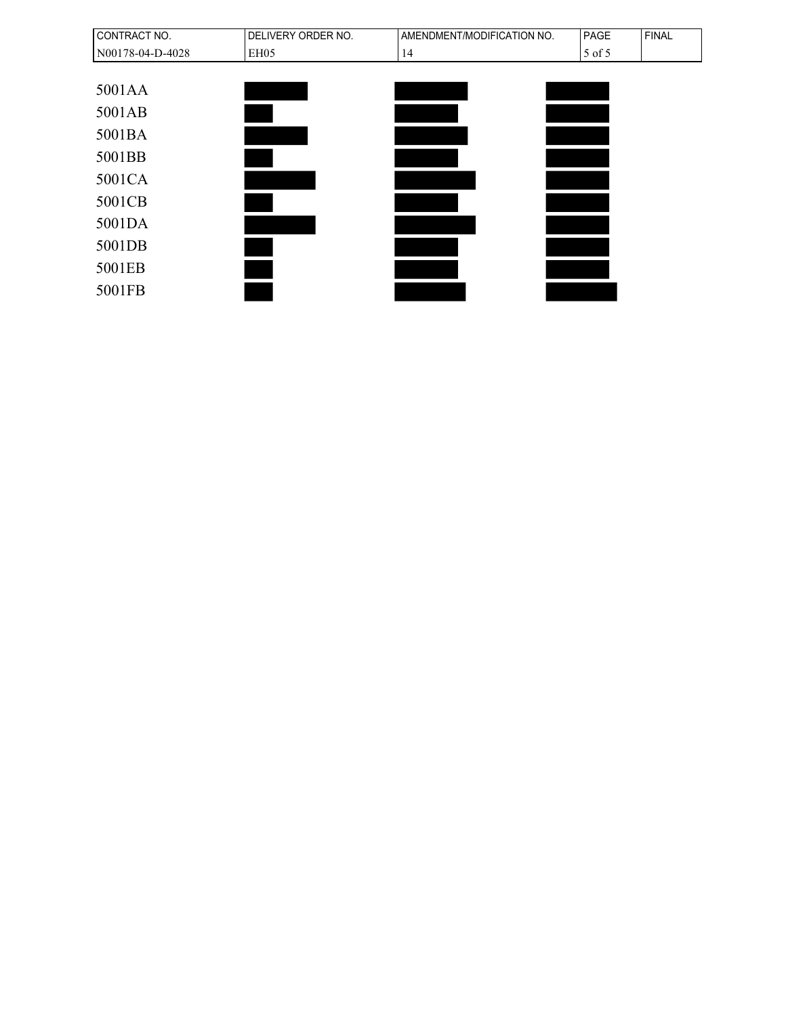| CONTRACT NO.     | DELIVERY ORDER NO. | AMENDMENT/MODIFICATION NO. | PAGE   | <b>FINAL</b> |
|------------------|--------------------|----------------------------|--------|--------------|
| N00178-04-D-4028 | EH05               | 14                         | 5 of 5 |              |
|                  |                    |                            |        |              |
| 5001AA           |                    |                            |        |              |
| 5001AB           |                    |                            |        |              |
| 5001BA           |                    |                            |        |              |
| 5001BB           |                    |                            |        |              |
| 5001CA           |                    |                            |        |              |
| 5001CB           |                    |                            |        |              |
| 5001DA           |                    |                            |        |              |
| 5001DB           |                    |                            |        |              |
| 5001EB           |                    |                            |        |              |
| 5001FB           |                    |                            |        |              |
|                  |                    |                            |        |              |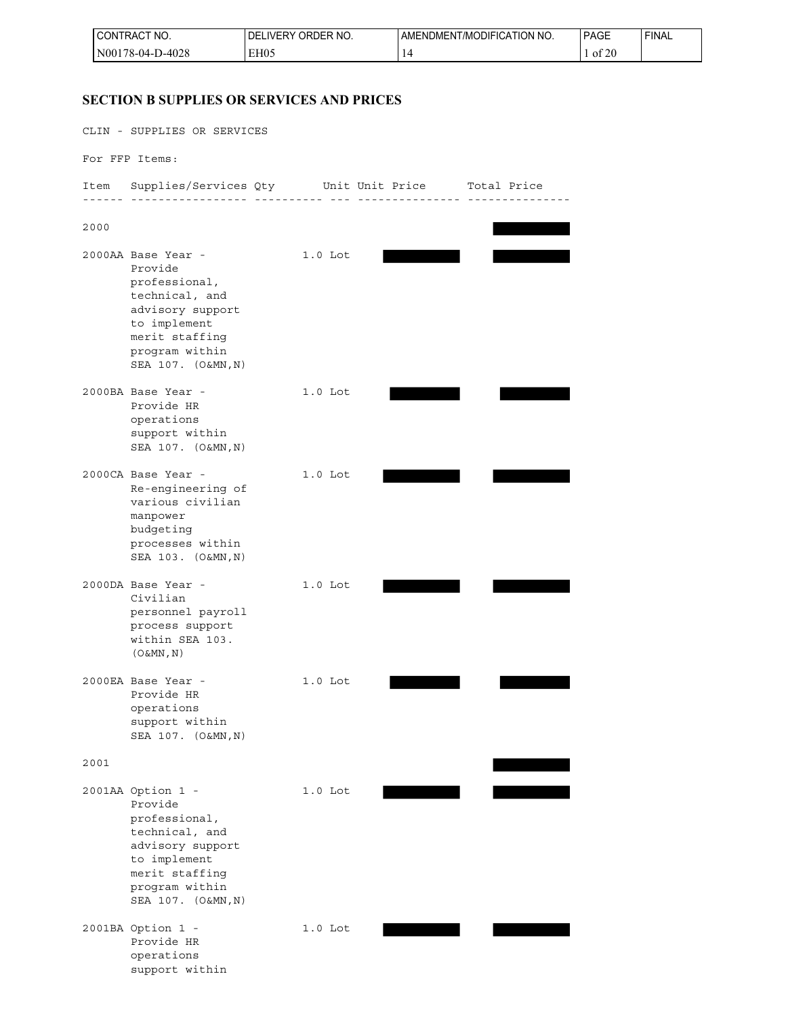| <b>ICONT</b><br>'NO.<br><b>TRAC.</b> | ORDER NO.<br><b>IVERY</b><br>DEI | NT/MODIFICATION NO.<br>LAMENDMENT | <b>PAGE</b>        | <b>FINAL</b> |
|--------------------------------------|----------------------------------|-----------------------------------|--------------------|--------------|
| $N00178-04-D-4028$                   | EH05                             |                                   | $^{\circ}20$<br>0t |              |

## **SECTION B SUPPLIES OR SERVICES AND PRICES**

CLIN - SUPPLIES OR SERVICES

For FFP Items:

Item Supplies/Services Qty Unit Unit Price Total Price ------ ----------------- ---------- --- --------------- --------------- 2000 2000AA Base Year - 1.0 Lot Provide professional, technical, and advisory support to implement merit staffing program within SEA 107. (O&MN,N) 2000BA Base Year - 1.0 Lot Provide HR operations support within SEA 107. (O&MN,N) 2000CA Base Year - 1.0 Lot Re-engineering of various civilian manpower budgeting processes within SEA 103. (O&MN,N) 2000DA Base Year - 1.0 Lot Civilian personnel payroll process support within SEA 103.  $(O&MN,N)$ 2000EA Base Year - 1.0 Lot Provide HR operations support within SEA 107. (O&MN,N) 2001 2001AA Option 1 - 1.0 Lot Provide professional, technical, and advisory support

 merit staffing program within SEA 107. (O&MN,N) 2001BA Option 1 - 1.0 Lot Provide HR operations

support within

to implement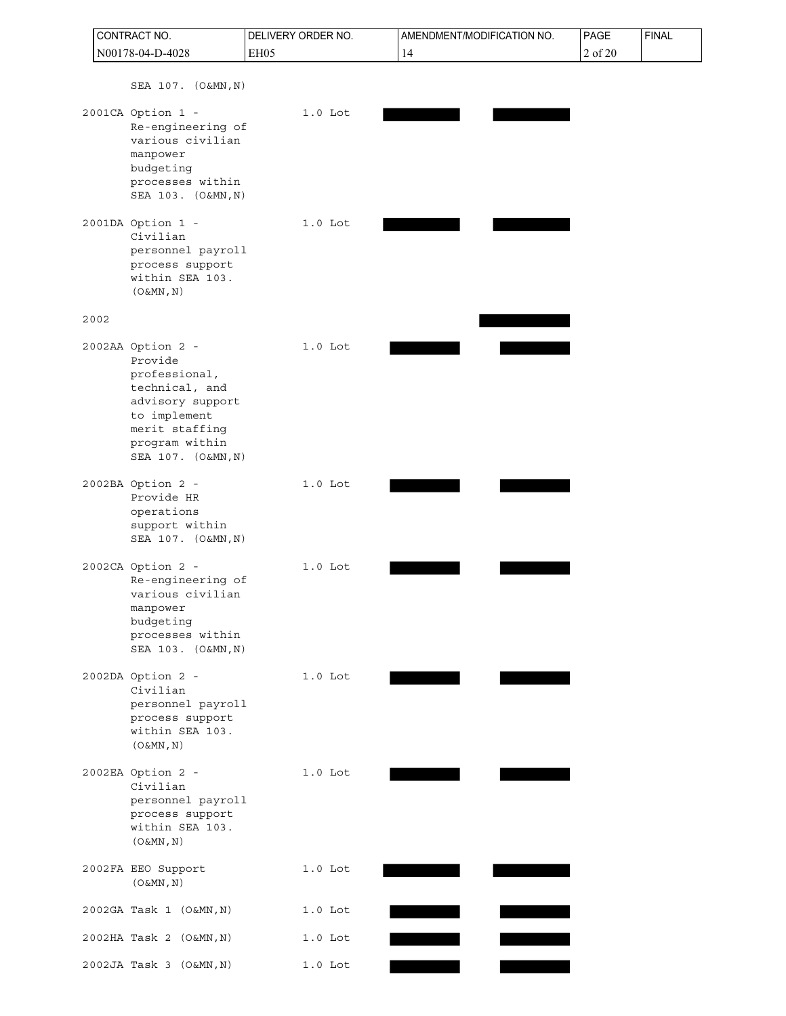|      | CONTRACT NO.                                                                                                                                                  | DELIVERY ORDER NO. | AMENDMENT/MODIFICATION NO. | PAGE    | <b>FINAL</b> |
|------|---------------------------------------------------------------------------------------------------------------------------------------------------------------|--------------------|----------------------------|---------|--------------|
|      | N00178-04-D-4028                                                                                                                                              | EH05               | 14                         | 2 of 20 |              |
|      | SEA 107. (O&MN, N)                                                                                                                                            |                    |                            |         |              |
|      | 2001CA Option 1 -<br>Re-engineering of<br>various civilian<br>manpower<br>budgeting<br>processes within<br>SEA 103. (O&MN, N)                                 | $1.0$ Lot          |                            |         |              |
|      | 2001DA Option 1 -<br>Civilian<br>personnel payroll<br>process support<br>within SEA 103.<br>$(0\&MN, N)$                                                      | $1.0$ Lot          |                            |         |              |
| 2002 |                                                                                                                                                               |                    |                            |         |              |
|      | 2002AA Option 2 -<br>Provide<br>professional,<br>technical, and<br>advisory support<br>to implement<br>merit staffing<br>program within<br>SEA 107. (O&MN, N) | $1.0$ Lot          |                            |         |              |
|      | 2002BA Option 2 -<br>Provide HR<br>operations<br>support within<br>SEA 107. (O&MN, N)                                                                         | $1.0$ Lot          |                            |         |              |
|      | 2002CA Option 2 -<br>Re-engineering of<br>various civilian<br>manpower<br>budgeting<br>processes within<br>SEA 103. (O&MN, N)                                 | $1.0$ Lot          |                            |         |              |
|      | 2002DA Option 2 -<br>Civilian<br>personnel payroll<br>process support<br>within SEA 103.<br>$(0\&MN, N)$                                                      | $1.0$ Lot          |                            |         |              |
|      | 2002EA Option 2 -<br>Civilian<br>personnel payroll<br>process support<br>within SEA 103.<br>$(0\&MN, N)$                                                      | $1.0$ Lot          |                            |         |              |
|      | 2002FA EEO Support<br>$(0\&MN, N)$                                                                                                                            | $1.0$ Lot          |                            |         |              |
|      | 2002GA Task 1 (O&MN, N)                                                                                                                                       | $1.0$ Lot          |                            |         |              |
|      | 2002HA Task 2 (O&MN, N)                                                                                                                                       | $1.0$ Lot          |                            |         |              |
|      | 2002JA Task 3 (O&MN, N)                                                                                                                                       | $1.0$ Lot          |                            |         |              |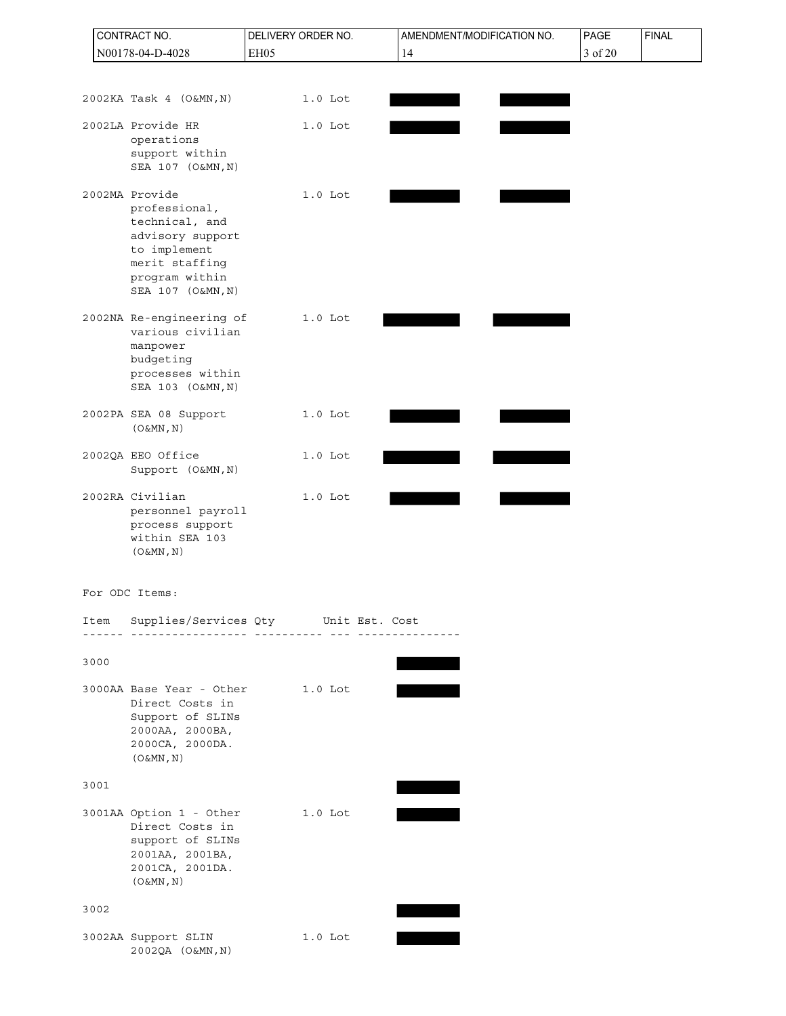|      | CONTRACT NO.                                                                                                                                   | DELIVERY ORDER NO.                                                       | AMENDMENT/MODIFICATION NO. | PAGE    | <b>FINAL</b> |
|------|------------------------------------------------------------------------------------------------------------------------------------------------|--------------------------------------------------------------------------|----------------------------|---------|--------------|
|      | N00178-04-D-4028                                                                                                                               | EH05                                                                     | 14                         | 3 of 20 |              |
|      |                                                                                                                                                |                                                                          |                            |         |              |
|      | 2002KA Task 4 (O&MN, N)                                                                                                                        | $1.0$ Lot                                                                |                            |         |              |
|      | 2002LA Provide HR<br>operations<br>support within<br>SEA 107 (O&MN, N)                                                                         | $1.0$ Lot                                                                |                            |         |              |
|      | 2002MA Provide<br>professional,<br>technical, and<br>advisory support<br>to implement<br>merit staffing<br>program within<br>SEA 107 (O&MN, N) | $1.0$ Lot                                                                |                            |         |              |
|      | 2002NA Re-engineering of<br>various civilian<br>manpower<br>budgeting<br>processes within<br>SEA 103 (O&MN, N)                                 | $1.0$ Lot                                                                |                            |         |              |
|      | 2002PA SEA 08 Support<br>$(0\&MN, N)$                                                                                                          | $1.0$ Lot                                                                |                            |         |              |
|      | 2002QA EEO Office<br>Support (O&MN, N)                                                                                                         | $1.0$ Lot                                                                |                            |         |              |
|      | 2002RA Civilian<br>personnel payroll<br>process support<br>within SEA 103<br>$(0\&MN, N)$                                                      | $1.0$ Lot                                                                |                            |         |              |
|      | For ODC Items:                                                                                                                                 |                                                                          |                            |         |              |
|      |                                                                                                                                                | Item Supplies/Services Qty Unit Est. Cost<br><u> 222 22222222222 222</u> |                            |         |              |
| 3000 |                                                                                                                                                |                                                                          |                            |         |              |
|      | 3000AA Base Year - Other<br>Direct Costs in<br>Support of SLINs<br>2000AA, 2000BA,<br>2000CA, 2000DA.<br>$(0\&MN, N)$                          | 1.0 Lot                                                                  |                            |         |              |
| 3001 |                                                                                                                                                |                                                                          |                            |         |              |
|      | 3001AA Option 1 - Other<br>Direct Costs in<br>support of SLINs<br>2001AA, 2001BA,<br>2001CA, 2001DA.<br>$(0\&MN, N)$                           | 1.0 Lot                                                                  |                            |         |              |
| 3002 |                                                                                                                                                |                                                                          |                            |         |              |
|      | 3002AA Support SLIN<br>2002QA (O&MN, N)                                                                                                        | $1.0$ Lot                                                                |                            |         |              |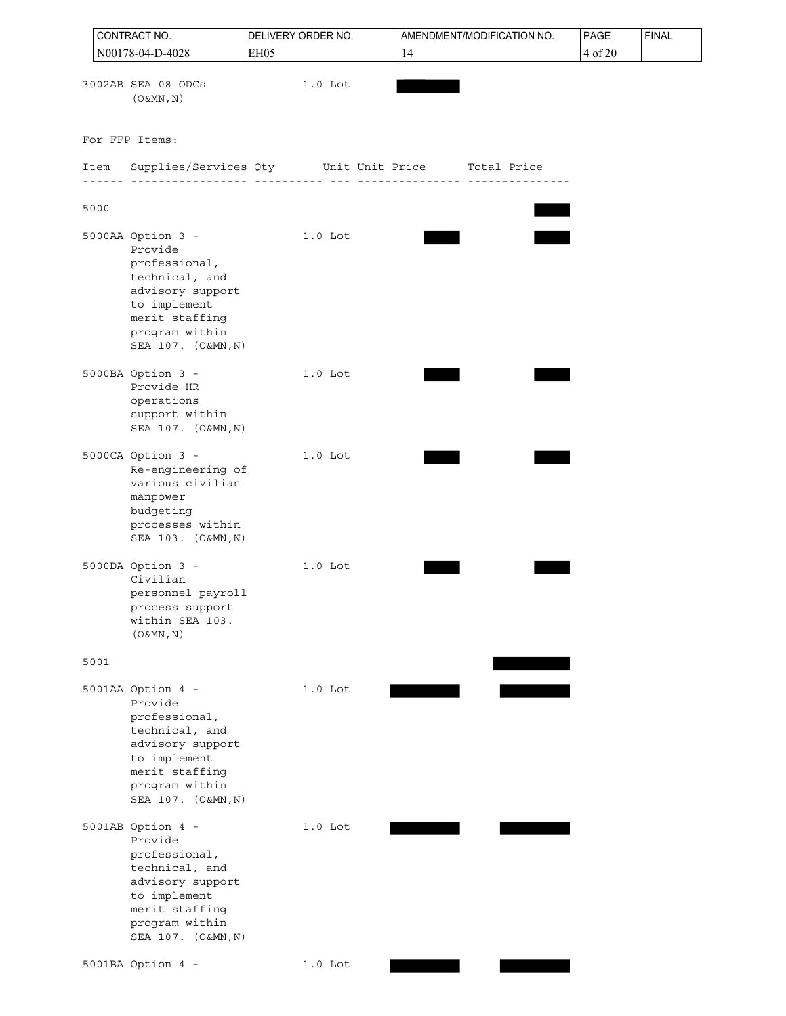|      | CONTRACT NO.                                                                                                                                                  | DELIVERY ORDER NO. | AMENDMENT/MODIFICATION NO. | PAGE    | <b>FINAL</b> |
|------|---------------------------------------------------------------------------------------------------------------------------------------------------------------|--------------------|----------------------------|---------|--------------|
|      | N00178-04-D-4028                                                                                                                                              | EH05               | 14                         | 4 of 20 |              |
|      | 3002AB SEA 08 ODCs<br>$(0\&MN, N)$                                                                                                                            | $1.0$ Lot          |                            |         |              |
|      | For FFP Items:                                                                                                                                                |                    |                            |         |              |
| Item | Supplies/Services Qty    Unit Unit Price    Total Price                                                                                                       |                    |                            |         |              |
| 5000 |                                                                                                                                                               |                    |                            |         |              |
|      | 5000AA Option 3 -<br>Provide<br>professional,<br>technical, and<br>advisory support<br>to implement<br>merit staffing<br>program within<br>SEA 107. (O&MN, N) | 1.0 Lot            |                            |         |              |
|      | 5000BA Option 3 -<br>Provide HR<br>operations<br>support within<br>SEA 107. (O&MN, N)                                                                         | $1.0$ Lot          |                            |         |              |
|      | 5000CA Option 3 -<br>Re-engineering of<br>various civilian<br>manpower<br>budgeting<br>processes within<br>SEA 103. (O&MN, N)                                 | $1.0$ Lot          |                            |         |              |
|      | 5000DA Option 3 -<br>Civilian<br>personnel payroll<br>process support<br>within SEA 103.<br>$(0\&MN, N)$                                                      | $1.0$ Lot          |                            |         |              |
| 5001 |                                                                                                                                                               |                    |                            |         |              |
|      | 5001AA Option 4 -<br>Provide<br>professional,<br>technical, and<br>advisory support<br>to implement<br>merit staffing<br>program within<br>SEA 107. (O&MN, N) | $1.0$ Lot          |                            |         |              |
|      | 5001AB Option 4 -<br>Provide<br>professional,<br>technical, and<br>advisory support<br>to implement<br>merit staffing<br>program within<br>SEA 107. (O&MN, N) | $1.0$ Lot          |                            |         |              |
|      | 5001BA Option 4 -                                                                                                                                             | $1.0$ Lot          |                            |         |              |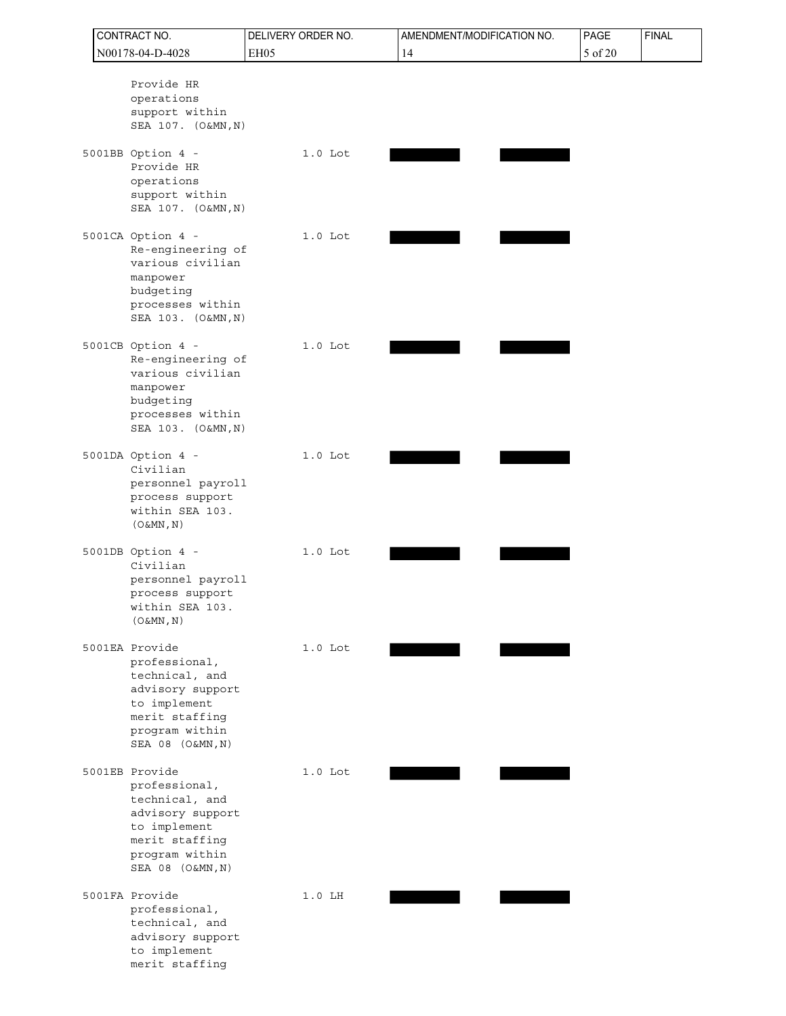|  | CONTRACT NO.                                                                                                                                  | DELIVERY ORDER NO. | AMENDMENT/MODIFICATION NO. | PAGE    | <b>FINAL</b> |
|--|-----------------------------------------------------------------------------------------------------------------------------------------------|--------------------|----------------------------|---------|--------------|
|  | N00178-04-D-4028                                                                                                                              | <b>EH05</b>        | 14                         | 5 of 20 |              |
|  | Provide HR<br>operations<br>support within<br>SEA 107. (O&MN, N)                                                                              |                    |                            |         |              |
|  | 5001BB Option 4 -<br>Provide HR<br>operations<br>support within<br>SEA 107. (O&MN, N)                                                         | $1.0$ Lot          |                            |         |              |
|  | 5001CA Option 4 -<br>Re-engineering of<br>various civilian<br>manpower<br>budgeting<br>processes within<br>SEA 103. (O&MN, N)                 | $1.0$ Lot          |                            |         |              |
|  | 5001CB Option 4 -<br>Re-engineering of<br>various civilian<br>manpower<br>budgeting<br>processes within<br>SEA 103. (O&MN, N)                 | $1.0$ Lot          |                            |         |              |
|  | 5001DA Option 4 -<br>Civilian<br>personnel payroll<br>process support<br>within SEA 103.<br>$(0\&MN, N)$                                      | $1.0$ Lot          |                            |         |              |
|  | 5001DB Option 4 -<br>Civilian<br>personnel payroll<br>process support<br>within SEA 103.<br>$(0\&MN, N)$                                      | $1.0$ Lot          |                            |         |              |
|  | 5001EA Provide<br>professional,<br>technical, and<br>advisory support<br>to implement<br>merit staffing<br>program within<br>SEA 08 (O&MN, N) | $1.0$ Lot          |                            |         |              |
|  | 5001EB Provide<br>professional,<br>technical, and<br>advisory support<br>to implement<br>merit staffing<br>program within<br>SEA 08 (O&MN, N) | $1.0$ Lot          |                            |         |              |
|  | 5001FA Provide<br>professional,<br>technical, and<br>advisory support<br>to implement<br>merit staffing                                       | $1.0$ LH           |                            |         |              |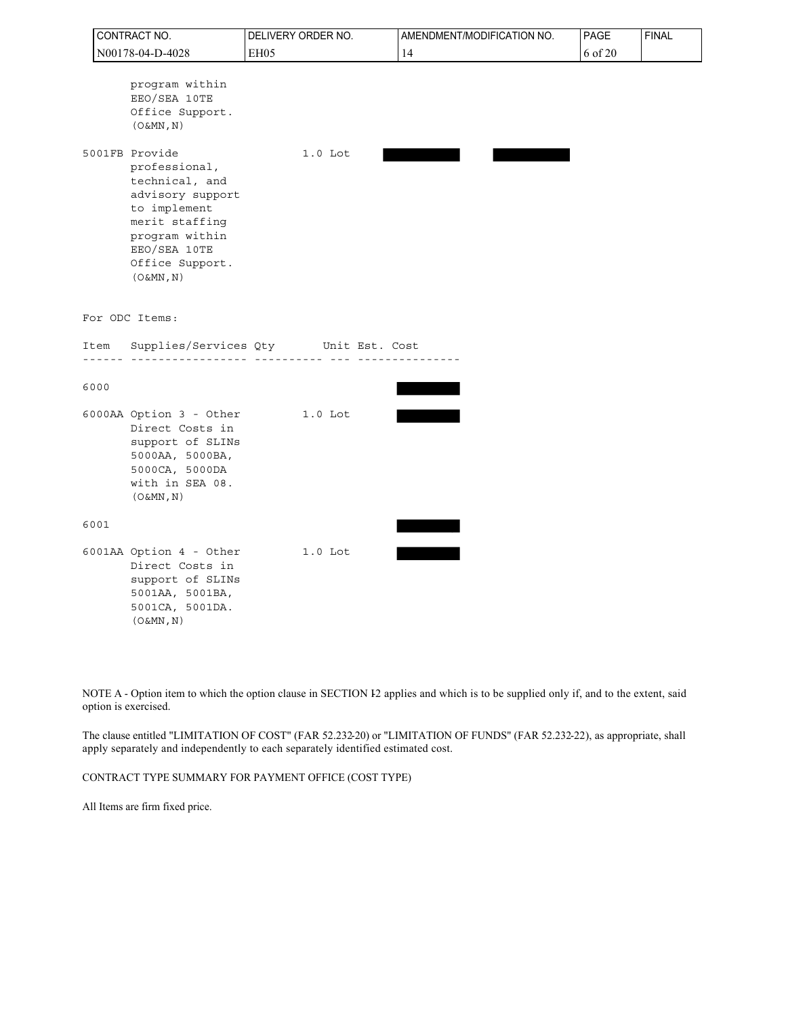|      | CONTRACT NO.                                                                                                                                                                 | DELIVERY ORDER NO.                               | AMENDMENT/MODIFICATION NO. | PAGE    | <b>FINAL</b> |
|------|------------------------------------------------------------------------------------------------------------------------------------------------------------------------------|--------------------------------------------------|----------------------------|---------|--------------|
|      | N00178-04-D-4028                                                                                                                                                             | EH <sub>05</sub>                                 | 14                         | 6 of 20 |              |
|      | program within<br>EEO/SEA 10TE<br>Office Support.<br>$(0\&MN, N)$                                                                                                            |                                                  |                            |         |              |
|      | 5001FB Provide<br>professional,<br>technical, and<br>advisory support<br>to implement<br>merit staffing<br>program within<br>EEO/SEA 10TE<br>Office Support.<br>$(0\&MN, N)$ | $1.0$ Lot                                        |                            |         |              |
|      | For ODC Items:                                                                                                                                                               |                                                  |                            |         |              |
| Item | ____________                                                                                                                                                                 | Supplies/Services Qty Unit Est. Cost<br><u> </u> |                            |         |              |
| 6000 |                                                                                                                                                                              |                                                  |                            |         |              |
|      | 6000AA Option 3 - Other<br>Direct Costs in<br>support of SLINs<br>5000AA, 5000BA,<br>5000CA, 5000DA<br>with in SEA 08.<br>$(0\&MN, N)$                                       | 1.0 Lot                                          |                            |         |              |
| 6001 |                                                                                                                                                                              |                                                  |                            |         |              |
|      | 6001AA Option 4 - Other<br>Direct Costs in<br>support of SLINs<br>5001AA, 5001BA,<br>5001CA, 5001DA.<br>$(0\&MN, N)$                                                         | $1.0$ Lot                                        |                            |         |              |

NOTE A - Option item to which the option clause in SECTION I2 applies and which is to be supplied only if, and to the extent, said option is exercised.

The clause entitled "LIMITATION OF COST" (FAR 52.232-20) or "LIMITATION OF FUNDS" (FAR 52.232-22), as appropriate, shall apply separately and independently to each separately identified estimated cost.

CONTRACT TYPE SUMMARY FOR PAYMENT OFFICE (COST TYPE)

All Items are firm fixed price.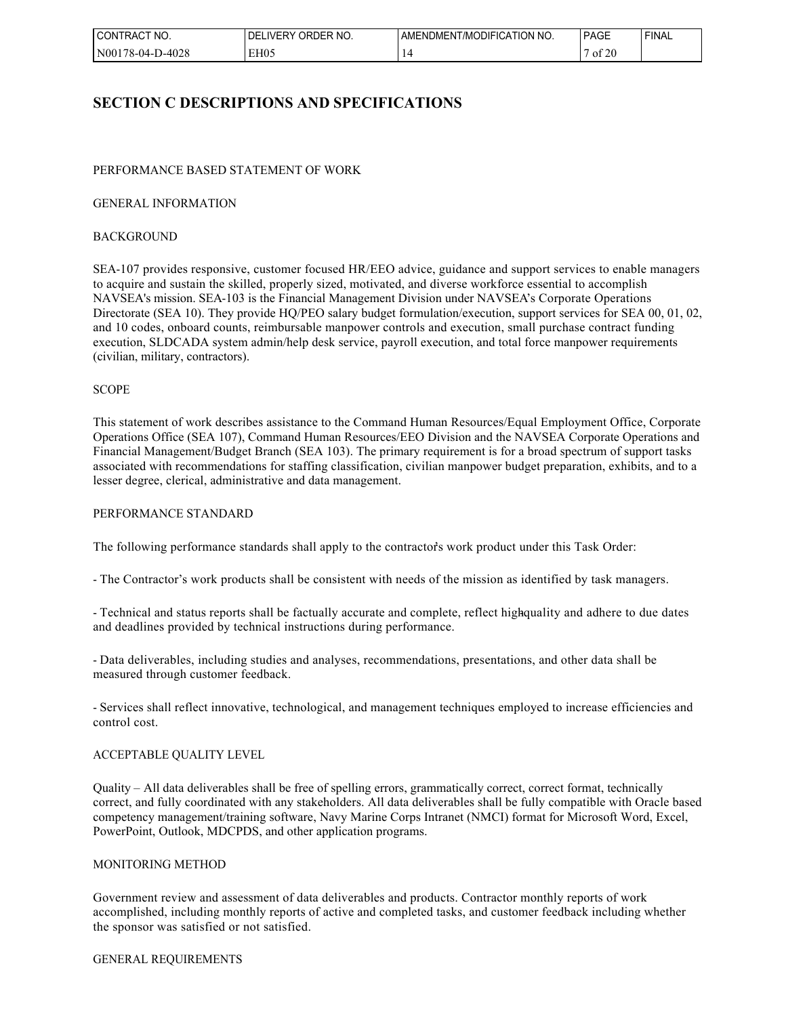| I CON"<br>'NO.<br>TRACT          | ንRDER NO.<br>IVFR'<br>. )⊢<br>W | ' NO.<br>. ATION .<br>. )DIFIC<br>l /MC<br>JMEN<br>AMENL' | <b>PAGE</b>                      | <b>FINAL</b> |
|----------------------------------|---------------------------------|-----------------------------------------------------------|----------------------------------|--------------|
| 1N00<br>D-4028<br>$1.6 - 04 - 1$ | EH <sub>05</sub>                |                                                           | $\sim$ $\sim$ $\sim$<br>0t<br>ZU |              |

## **SECTION C DESCRIPTIONS AND SPECIFICATIONS**

### PERFORMANCE BASED STATEMENT OF WORK

#### GENERAL INFORMATION

#### BACKGROUND

SEA-107 provides responsive, customer focused HR/EEO advice, guidance and support services to enable managers to acquire and sustain the skilled, properly sized, motivated, and diverse workforce essential to accomplish NAVSEA's mission. SEA-103 is the Financial Management Division under NAVSEA's Corporate Operations Directorate (SEA 10). They provide HQ/PEO salary budget formulation/execution, support services for SEA 00, 01, 02, and 10 codes, onboard counts, reimbursable manpower controls and execution, small purchase contract funding execution, SLDCADA system admin/help desk service, payroll execution, and total force manpower requirements (civilian, military, contractors).

#### **SCOPE**

This statement of work describes assistance to the Command Human Resources/Equal Employment Office, Corporate Operations Office (SEA 107), Command Human Resources/EEO Division and the NAVSEA Corporate Operations and Financial Management/Budget Branch (SEA 103). The primary requirement is for a broad spectrum of support tasks associated with recommendations for staffing classification, civilian manpower budget preparation, exhibits, and to a lesser degree, clerical, administrative and data management.

#### PERFORMANCE STANDARD

The following performance standards shall apply to the contractor's work product under this Task Order:

- The Contractor's work products shall be consistent with needs of the mission as identified by task managers.

- Technical and status reports shall be factually accurate and complete, reflect highquality and adhere to due dates and deadlines provided by technical instructions during performance.

- Data deliverables, including studies and analyses, recommendations, presentations, and other data shall be measured through customer feedback.

- Services shall reflect innovative, technological, and management techniques employed to increase efficiencies and control cost.

### ACCEPTABLE QUALITY LEVEL

Quality – All data deliverables shall be free of spelling errors, grammatically correct, correct format, technically correct, and fully coordinated with any stakeholders. All data deliverables shall be fully compatible with Oracle based competency management/training software, Navy Marine Corps Intranet (NMCI) format for Microsoft Word, Excel, PowerPoint, Outlook, MDCPDS, and other application programs.

#### MONITORING METHOD

Government review and assessment of data deliverables and products. Contractor monthly reports of work accomplished, including monthly reports of active and completed tasks, and customer feedback including whether the sponsor was satisfied or not satisfied.

#### GENERAL REQUIREMENTS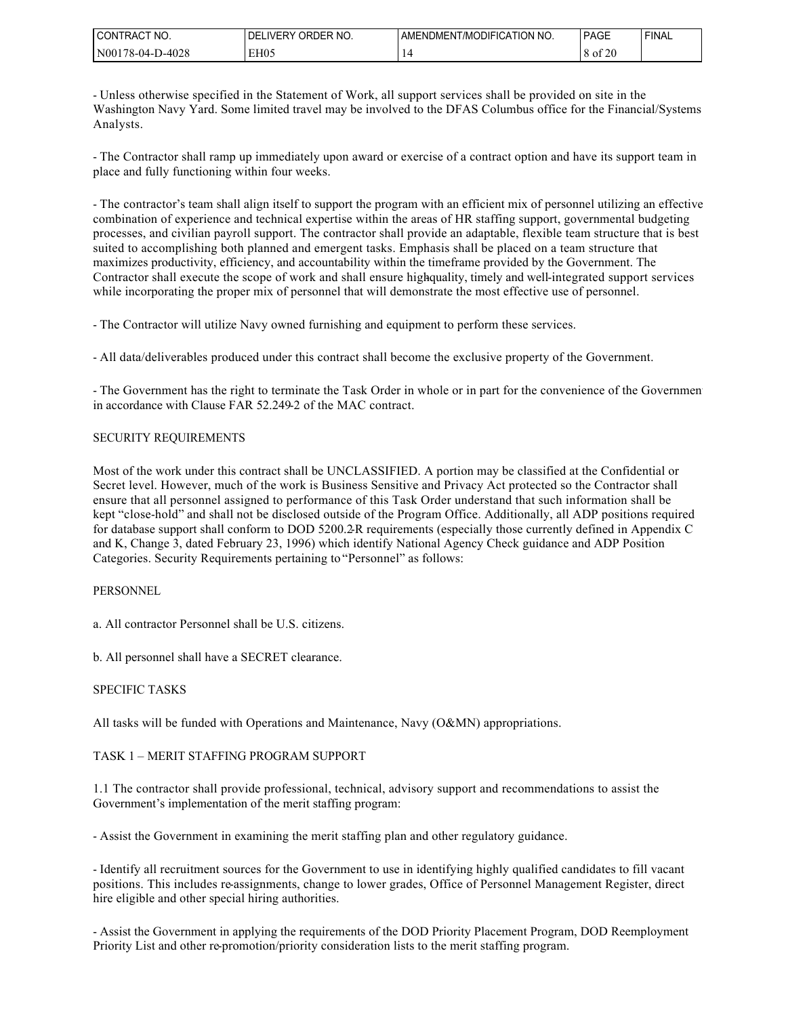| ∟CONT⊓<br>CT NO.<br><b>TRACT</b> | ORDER NO.<br>IVFRV<br>. л− | ATION,<br>' NO.<br><b>T/MODIFICA</b><br>'AMENDMENT. | <b>PAGE</b>                                   | ' FINAL |
|----------------------------------|----------------------------|-----------------------------------------------------|-----------------------------------------------|---------|
| 1N00<br>D-4028<br>$.76 - 04 - 1$ | EH05<br>. .                |                                                     | $\sim$ $\sim$ $\sim$<br>$\times$ 01 $\lambda$ |         |

- Unless otherwise specified in the Statement of Work, all support services shall be provided on site in the Washington Navy Yard. Some limited travel may be involved to the DFAS Columbus office for the Financial/Systems Analysts.

- The Contractor shall ramp up immediately upon award or exercise of a contract option and have its support team in place and fully functioning within four weeks.

- The contractor's team shall align itself to support the program with an efficient mix of personnel utilizing an effective combination of experience and technical expertise within the areas of HR staffing support, governmental budgeting processes, and civilian payroll support. The contractor shall provide an adaptable, flexible team structure that is best suited to accomplishing both planned and emergent tasks. Emphasis shall be placed on a team structure that maximizes productivity, efficiency, and accountability within the timeframe provided by the Government. The Contractor shall execute the scope of work and shall ensure high-quality, timely and well-integrated support services while incorporating the proper mix of personnel that will demonstrate the most effective use of personnel.

- The Contractor will utilize Navy owned furnishing and equipment to perform these services.

- All data/deliverables produced under this contract shall become the exclusive property of the Government.

- The Government has the right to terminate the Task Order in whole or in part for the convenience of the Government in accordance with Clause FAR 52.249-2 of the MAC contract.

#### SECURITY REQUIREMENTS

Most of the work under this contract shall be UNCLASSIFIED. A portion may be classified at the Confidential or Secret level. However, much of the work is Business Sensitive and Privacy Act protected so the Contractor shall ensure that all personnel assigned to performance of this Task Order understand that such information shall be kept "close-hold" and shall not be disclosed outside of the Program Office. Additionally, all ADP positions required for database support shall conform to DOD 5200.2-R requirements (especially those currently defined in Appendix C and K, Change 3, dated February 23, 1996) which identify National Agency Check guidance and ADP Position Categories. Security Requirements pertaining to "Personnel" as follows:

#### PERSONNEL

a. All contractor Personnel shall be U.S. citizens.

b. All personnel shall have a SECRET clearance.

#### SPECIFIC TASKS

All tasks will be funded with Operations and Maintenance, Navy (O&MN) appropriations.

### TASK 1 – MERIT STAFFING PROGRAM SUPPORT

1.1 The contractor shall provide professional, technical, advisory support and recommendations to assist the Government's implementation of the merit staffing program:

- Assist the Government in examining the merit staffing plan and other regulatory guidance.

- Identify all recruitment sources for the Government to use in identifying highly qualified candidates to fill vacant positions. This includes re-assignments, change to lower grades, Office of Personnel Management Register, direct hire eligible and other special hiring authorities.

- Assist the Government in applying the requirements of the DOD Priority Placement Program, DOD Reemployment Priority List and other re-promotion/priority consideration lists to the merit staffing program.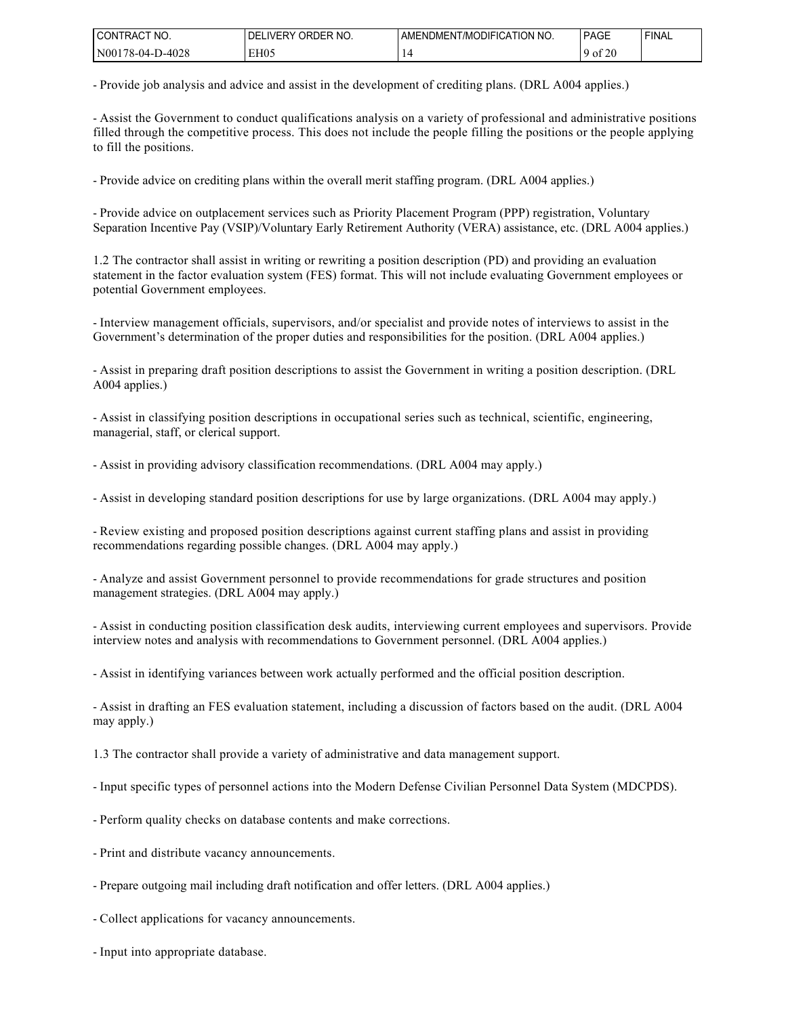| l CONTRACT<br>NO.     | ORDER NO.<br><b>IVERY</b><br>DEI | ICATION NO.<br><b>IMODIFIC</b><br>AMENDMEN | <b>PAGE</b>  | <b>FINAL</b> |
|-----------------------|----------------------------------|--------------------------------------------|--------------|--------------|
| N00178-04-1<br>D-4028 | EH <sub>05</sub>                 |                                            | f $20$<br>οt |              |

- Provide job analysis and advice and assist in the development of crediting plans. (DRL A004 applies.)

- Assist the Government to conduct qualifications analysis on a variety of professional and administrative positions filled through the competitive process. This does not include the people filling the positions or the people applying to fill the positions.

- Provide advice on crediting plans within the overall merit staffing program. (DRL A004 applies.)

- Provide advice on outplacement services such as Priority Placement Program (PPP) registration, Voluntary Separation Incentive Pay (VSIP)/Voluntary Early Retirement Authority (VERA) assistance, etc. (DRL A004 applies.)

1.2 The contractor shall assist in writing or rewriting a position description (PD) and providing an evaluation statement in the factor evaluation system (FES) format. This will not include evaluating Government employees or potential Government employees.

- Interview management officials, supervisors, and/or specialist and provide notes of interviews to assist in the Government's determination of the proper duties and responsibilities for the position. (DRL A004 applies.)

- Assist in preparing draft position descriptions to assist the Government in writing a position description. (DRL A004 applies.)

- Assist in classifying position descriptions in occupational series such as technical, scientific, engineering, managerial, staff, or clerical support.

- Assist in providing advisory classification recommendations. (DRL A004 may apply.)

- Assist in developing standard position descriptions for use by large organizations. (DRL A004 may apply.)

- Review existing and proposed position descriptions against current staffing plans and assist in providing recommendations regarding possible changes. (DRL A004 may apply.)

- Analyze and assist Government personnel to provide recommendations for grade structures and position management strategies. (DRL A004 may apply.)

- Assist in conducting position classification desk audits, interviewing current employees and supervisors. Provide interview notes and analysis with recommendations to Government personnel. (DRL A004 applies.)

- Assist in identifying variances between work actually performed and the official position description.

- Assist in drafting an FES evaluation statement, including a discussion of factors based on the audit. (DRL A004 may apply.)

1.3 The contractor shall provide a variety of administrative and data management support.

- Input specific types of personnel actions into the Modern Defense Civilian Personnel Data System (MDCPDS).

- Perform quality checks on database contents and make corrections.
- Print and distribute vacancy announcements.
- Prepare outgoing mail including draft notification and offer letters. (DRL A004 applies.)
- Collect applications for vacancy announcements.
- Input into appropriate database.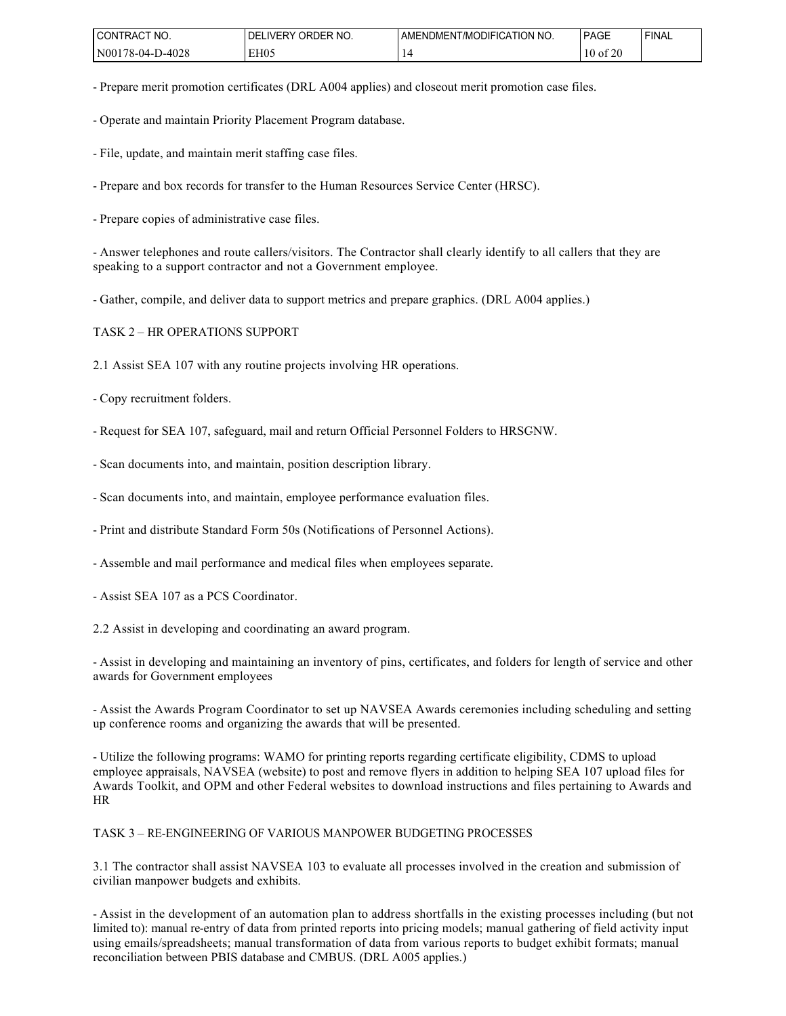| l CONTRACT<br>'NO.                    | ORDER NO.<br>DF.<br><b>IVERY</b> | ' NO.<br><b>ODIFICATION'</b><br>AMENDMENT/MC | <b>PAGE</b>            | <b>FINAL</b> |
|---------------------------------------|----------------------------------|----------------------------------------------|------------------------|--------------|
| N00<br>D-4028<br>ຳບ<br>$.78 - 04 - 1$ | EH <sub>05</sub>                 |                                              | coc<br>' 01<br>v<br>∠⊾ |              |

- Prepare merit promotion certificates (DRL A004 applies) and closeout merit promotion case files.

- Operate and maintain Priority Placement Program database.

- File, update, and maintain merit staffing case files.

- Prepare and box records for transfer to the Human Resources Service Center (HRSC).

- Prepare copies of administrative case files.

- Answer telephones and route callers/visitors. The Contractor shall clearly identify to all callers that they are speaking to a support contractor and not a Government employee.

- Gather, compile, and deliver data to support metrics and prepare graphics. (DRL A004 applies.)

TASK 2 – HR OPERATIONS SUPPORT

2.1 Assist SEA 107 with any routine projects involving HR operations.

- Copy recruitment folders.

- Request for SEA 107, safeguard, mail and return Official Personnel Folders to HRSGNW.

- Scan documents into, and maintain, position description library.

- Scan documents into, and maintain, employee performance evaluation files.

- Print and distribute Standard Form 50s (Notifications of Personnel Actions).

- Assemble and mail performance and medical files when employees separate.

- Assist SEA 107 as a PCS Coordinator.

2.2 Assist in developing and coordinating an award program.

- Assist in developing and maintaining an inventory of pins, certificates, and folders for length of service and other awards for Government employees

- Assist the Awards Program Coordinator to set up NAVSEA Awards ceremonies including scheduling and setting up conference rooms and organizing the awards that will be presented.

- Utilize the following programs: WAMO for printing reports regarding certificate eligibility, CDMS to upload employee appraisals, NAVSEA (website) to post and remove flyers in addition to helping SEA 107 upload files for Awards Toolkit, and OPM and other Federal websites to download instructions and files pertaining to Awards and HR

TASK 3 – RE-ENGINEERING OF VARIOUS MANPOWER BUDGETING PROCESSES

3.1 The contractor shall assist NAVSEA 103 to evaluate all processes involved in the creation and submission of civilian manpower budgets and exhibits.

- Assist in the development of an automation plan to address shortfalls in the existing processes including (but not limited to): manual re-entry of data from printed reports into pricing models; manual gathering of field activity input using emails/spreadsheets; manual transformation of data from various reports to budget exhibit formats; manual reconciliation between PBIS database and CMBUS. (DRL A005 applies.)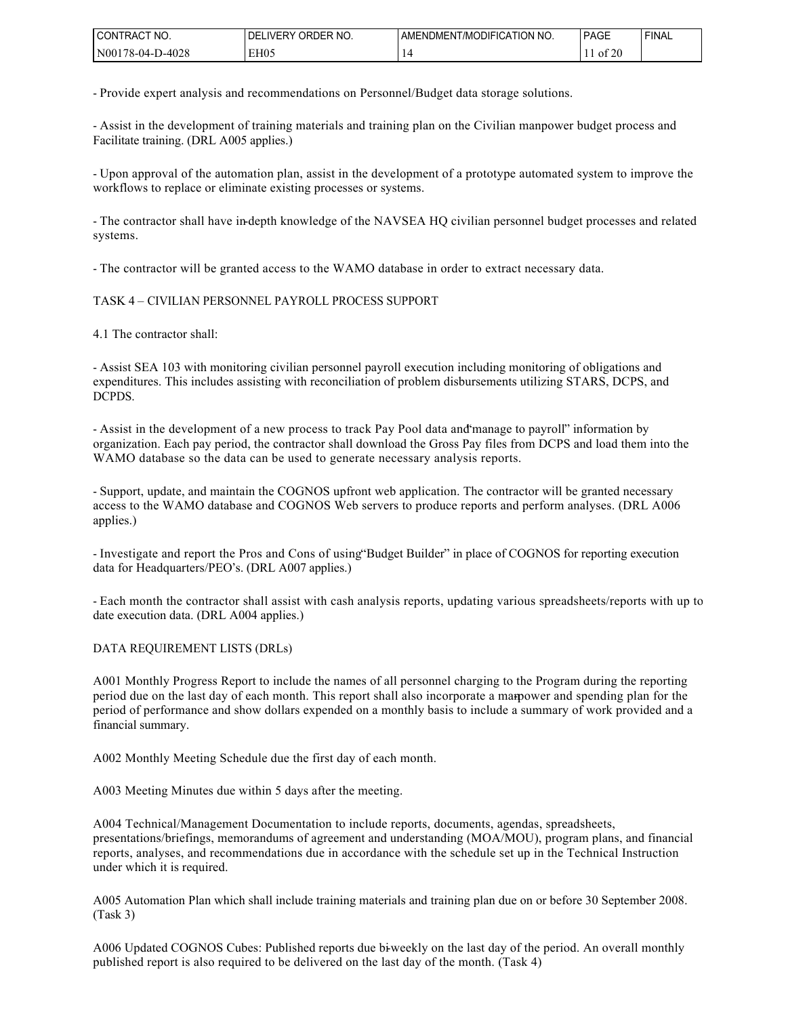| l CON<br>TNO.<br>TRAC                    | <sup>ነ</sup> RDER NO.<br>WERY<br>DF | <b>CATION</b><br>' NO.<br>111F1C<br>I /MC<br>MENDMEN | <b>PAGE</b>       | <b>FINAL</b> |
|------------------------------------------|-------------------------------------|------------------------------------------------------|-------------------|--------------|
| 1 N00<br><b>D-4028</b><br>$1.6 - 04 - P$ | EH05                                |                                                      | ، مع<br>-01<br>∠∖ |              |

- Provide expert analysis and recommendations on Personnel/Budget data storage solutions.

- Assist in the development of training materials and training plan on the Civilian manpower budget process and Facilitate training. (DRL A005 applies.)

- Upon approval of the automation plan, assist in the development of a prototype automated system to improve the workflows to replace or eliminate existing processes or systems.

- The contractor shall have in-depth knowledge of the NAVSEA HQ civilian personnel budget processes and related systems.

- The contractor will be granted access to the WAMO database in order to extract necessary data.

#### TASK 4 – CIVILIAN PERSONNEL PAYROLL PROCESS SUPPORT

4.1 The contractor shall:

- Assist SEA 103 with monitoring civilian personnel payroll execution including monitoring of obligations and expenditures. This includes assisting with reconciliation of problem disbursements utilizing STARS, DCPS, and DCPDS.

- Assist in the development of a new process to track Pay Pool data and "manage to payroll" information by organization. Each pay period, the contractor shall download the Gross Pay files from DCPS and load them into the WAMO database so the data can be used to generate necessary analysis reports.

- Support, update, and maintain the COGNOS upfront web application. The contractor will be granted necessary access to the WAMO database and COGNOS Web servers to produce reports and perform analyses. (DRL A006 applies.)

- Investigate and report the Pros and Cons of using "Budget Builder" in place of COGNOS for reporting execution data for Headquarters/PEO's. (DRL A007 applies.)

- Each month the contractor shall assist with cash analysis reports, updating various spreadsheets/reports with up to date execution data. (DRL A004 applies.)

#### DATA REQUIREMENT LISTS (DRLs)

A001 Monthly Progress Report to include the names of all personnel charging to the Program during the reporting period due on the last day of each month. This report shall also incorporate a marpower and spending plan for the period of performance and show dollars expended on a monthly basis to include a summary of work provided and a financial summary.

A002 Monthly Meeting Schedule due the first day of each month.

A003 Meeting Minutes due within 5 days after the meeting.

A004 Technical/Management Documentation to include reports, documents, agendas, spreadsheets, presentations/briefings, memorandums of agreement and understanding (MOA/MOU), program plans, and financial reports, analyses, and recommendations due in accordance with the schedule set up in the Technical Instruction under which it is required.

A005 Automation Plan which shall include training materials and training plan due on or before 30 September 2008. (Task 3)

A006 Updated COGNOS Cubes: Published reports due bi-weekly on the last day of the period. An overall monthly published report is also required to be delivered on the last day of the month. (Task 4)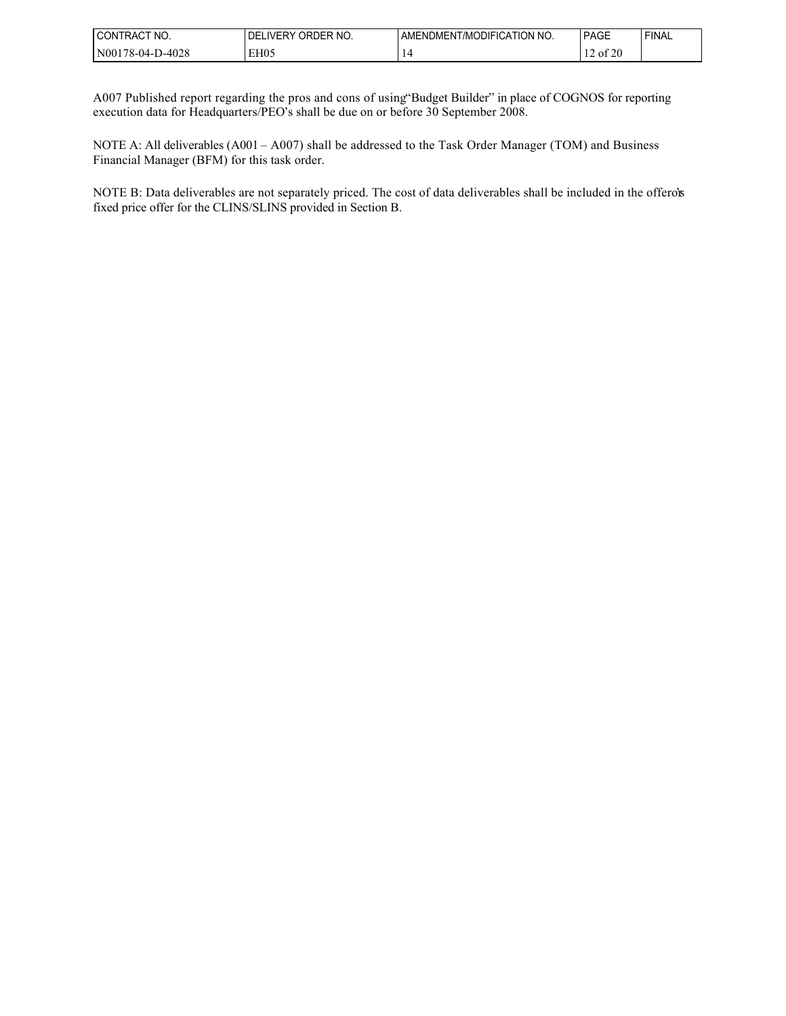| 'NO.<br>CON<br>'I RAC               | `RDER NO.<br>ור<br>.)RF<br>Л<br>IVER' | <b>JDIFICATION</b><br>NO.<br>7MC<br>:NDMEN-<br>AME | <b>PAGE</b> | <b>FINAL</b> |
|-------------------------------------|---------------------------------------|----------------------------------------------------|-------------|--------------|
| 0-4028<br>N <sub>00</sub><br>78-04- | EH05<br>. .                           |                                                    | f 2(<br>-01 |              |

A007 Published report regarding the pros and cons of using "Budget Builder" in place of COGNOS for reporting execution data for Headquarters/PEO's shall be due on or before 30 September 2008.

NOTE A: All deliverables (A001 – A007) shall be addressed to the Task Order Manager (TOM) and Business Financial Manager (BFM) for this task order.

NOTE B: Data deliverables are not separately priced. The cost of data deliverables shall be included in the offero's fixed price offer for the CLINS/SLINS provided in Section B.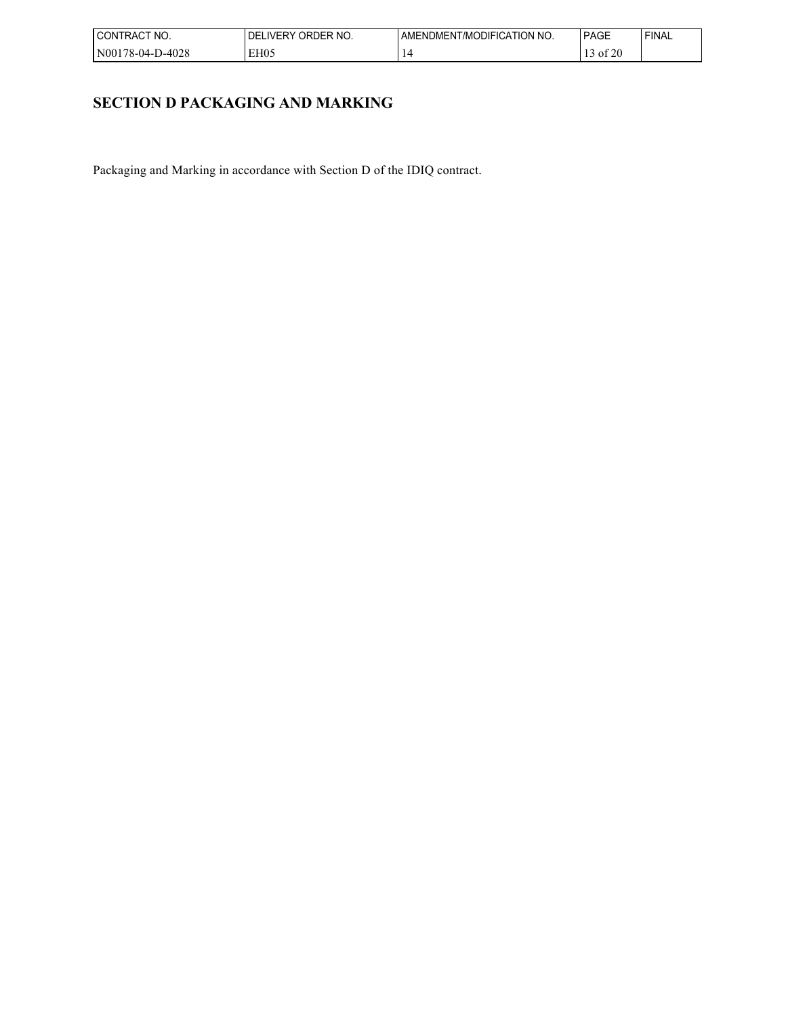| I CON <sup>-</sup><br>'NO.<br>TRAC1 | ORDER NO.<br><b>IVERY</b><br>. )⊢ | ' NO.<br>∴ATION ∶<br>. )DIFIC<br>T/MC<br>JMEN.<br>AMFNL' | <b>PAGE</b>                            | <b>FINAL</b> |
|-------------------------------------|-----------------------------------|----------------------------------------------------------|----------------------------------------|--------------|
| 1N00<br>D-4028<br>$1.6 - 04 - 1$    | EH <sub>05</sub>                  |                                                          | $\sim$ $\sim$ $\sim$<br>' 01<br>$\sim$ |              |

# **SECTION D PACKAGING AND MARKING**

Packaging and Marking in accordance with Section D of the IDIQ contract.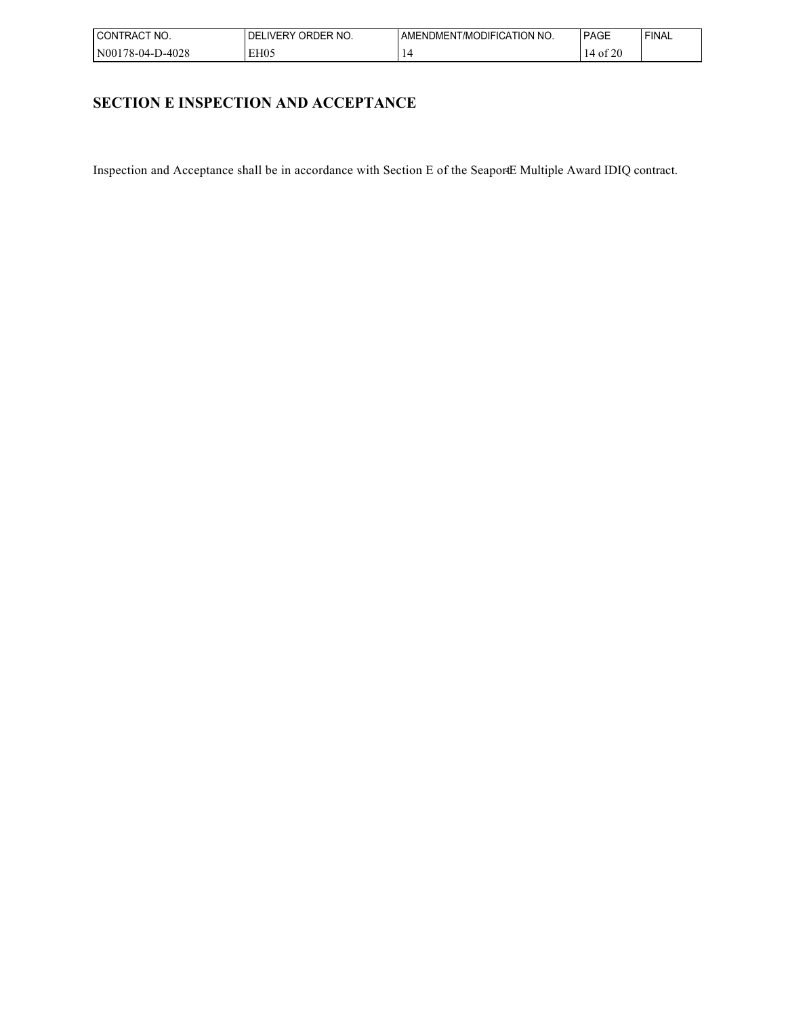| I CON"<br>'NO.<br><b>RACT</b>    | ORDER NO.<br><b>IVERY</b><br>. )⊢ | ' NO.<br>∴ATION ∶<br>. )DIFIC<br>T/MC<br>JMEN.<br>AMFNL' | <b>PAGE</b>                    | <b>FINAL</b> |
|----------------------------------|-----------------------------------|----------------------------------------------------------|--------------------------------|--------------|
| 1N00<br>D-4028<br>$.78 - 04 - 1$ | EH <sub>05</sub>                  |                                                          | $\sim$ $\sim$ $\sim$<br>$\sim$ |              |

# **SECTION E INSPECTION AND ACCEPTANCE**

Inspection and Acceptance shall be in accordance with Section E of the SeaportE Multiple Award IDIQ contract.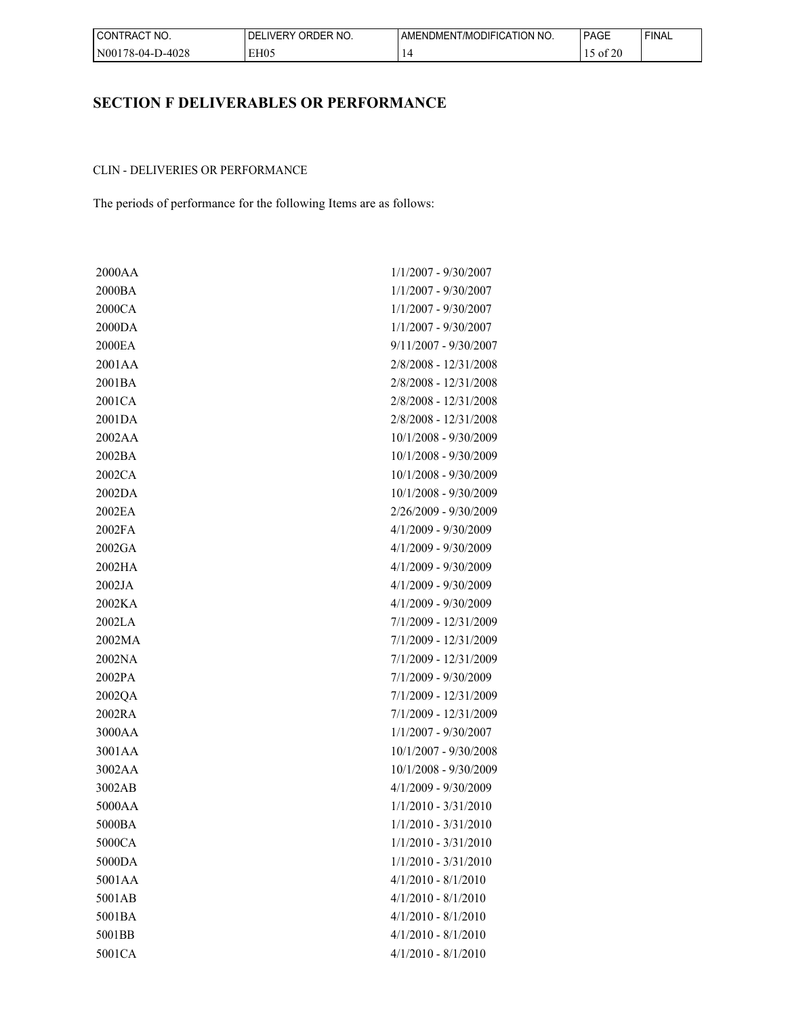| I CONTRACT NO.            | DELIVERY ORDER NO. | AMENDMENT/MODIFICATION NO. | <b>PAGE</b>            | 'FINAL |
|---------------------------|--------------------|----------------------------|------------------------|--------|
| -D-4028<br>  N00178-04-D- | EH <sub>05</sub>   |                            | $c \wedge c$<br>-01 20 |        |

# **SECTION F DELIVERABLES OR PERFORMANCE**

## CLIN - DELIVERIES OR PERFORMANCE

The periods of performance for the following Items are as follows:

| 2000AA | 1/1/2007 - 9/30/2007    |
|--------|-------------------------|
| 2000BA | $1/1/2007 - 9/30/2007$  |
| 2000CA | $1/1/2007 - 9/30/2007$  |
| 2000DA | $1/1/2007 - 9/30/2007$  |
| 2000EA | $9/11/2007 - 9/30/2007$ |
| 2001AA | 2/8/2008 - 12/31/2008   |
| 2001BA | 2/8/2008 - 12/31/2008   |
| 2001CA | 2/8/2008 - 12/31/2008   |
| 2001DA | 2/8/2008 - 12/31/2008   |
| 2002AA | 10/1/2008 - 9/30/2009   |
| 2002BA | 10/1/2008 - 9/30/2009   |
| 2002CA | 10/1/2008 - 9/30/2009   |
| 2002DA | 10/1/2008 - 9/30/2009   |
| 2002EA | 2/26/2009 - 9/30/2009   |
| 2002FA | $4/1/2009 - 9/30/2009$  |
| 2002GA | $4/1/2009 - 9/30/2009$  |
| 2002HA | $4/1/2009 - 9/30/2009$  |
| 2002JA | $4/1/2009 - 9/30/2009$  |
| 2002KA | $4/1/2009 - 9/30/2009$  |
| 2002LA | 7/1/2009 - 12/31/2009   |
| 2002MA | 7/1/2009 - 12/31/2009   |
| 2002NA | 7/1/2009 - 12/31/2009   |
| 2002PA | 7/1/2009 - 9/30/2009    |
| 2002QA | 7/1/2009 - 12/31/2009   |
| 2002RA | 7/1/2009 - 12/31/2009   |
| 3000AA | $1/1/2007 - 9/30/2007$  |
| 3001AA | 10/1/2007 - 9/30/2008   |
| 3002AA | 10/1/2008 - 9/30/2009   |
| 3002AB | $4/1/2009 - 9/30/2009$  |
| 5000AA | $1/1/2010 - 3/31/2010$  |
| 5000BA | $1/1/2010 - 3/31/2010$  |
| 5000CA | $1/1/2010 - 3/31/2010$  |
| 5000DA | $1/1/2010 - 3/31/2010$  |
| 5001AA | $4/1/2010 - 8/1/2010$   |
| 5001AB | $4/1/2010 - 8/1/2010$   |
| 5001BA | $4/1/2010 - 8/1/2010$   |
| 5001BB | $4/1/2010 - 8/1/2010$   |
| 5001CA | $4/1/2010 - 8/1/2010$   |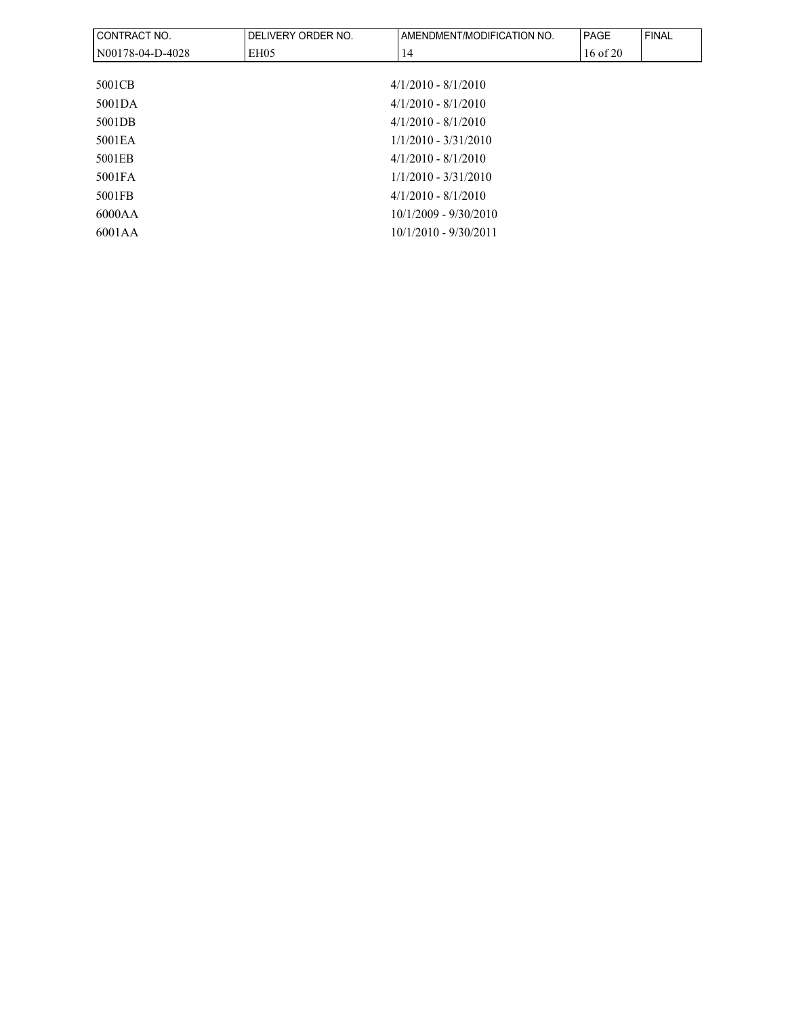| CONTRACT NO.     | DELIVERY ORDER NO.     | AMENDMENT/MODIFICATION NO. | <b>PAGE</b>  | <b>FINAL</b> |  |  |
|------------------|------------------------|----------------------------|--------------|--------------|--|--|
| N00178-04-D-4028 | EH05                   | 14                         | $16$ of $20$ |              |  |  |
|                  |                        |                            |              |              |  |  |
| 5001CB           |                        | $4/1/2010 - 8/1/2010$      |              |              |  |  |
| 5001DA           |                        | $4/1/2010 - 8/1/2010$      |              |              |  |  |
| 5001DB           |                        | $4/1/2010 - 8/1/2010$      |              |              |  |  |
| 5001 EA          | $1/1/2010 - 3/31/2010$ |                            |              |              |  |  |
| 5001EB           |                        | $4/1/2010 - 8/1/2010$      |              |              |  |  |
| 5001FA           |                        | $1/1/2010 - 3/31/2010$     |              |              |  |  |
| 5001FB           |                        | $4/1/2010 - 8/1/2010$      |              |              |  |  |
| 6000AA           |                        | $10/1/2009 - 9/30/2010$    |              |              |  |  |
| 6001AA           |                        | $10/1/2010 - 9/30/2011$    |              |              |  |  |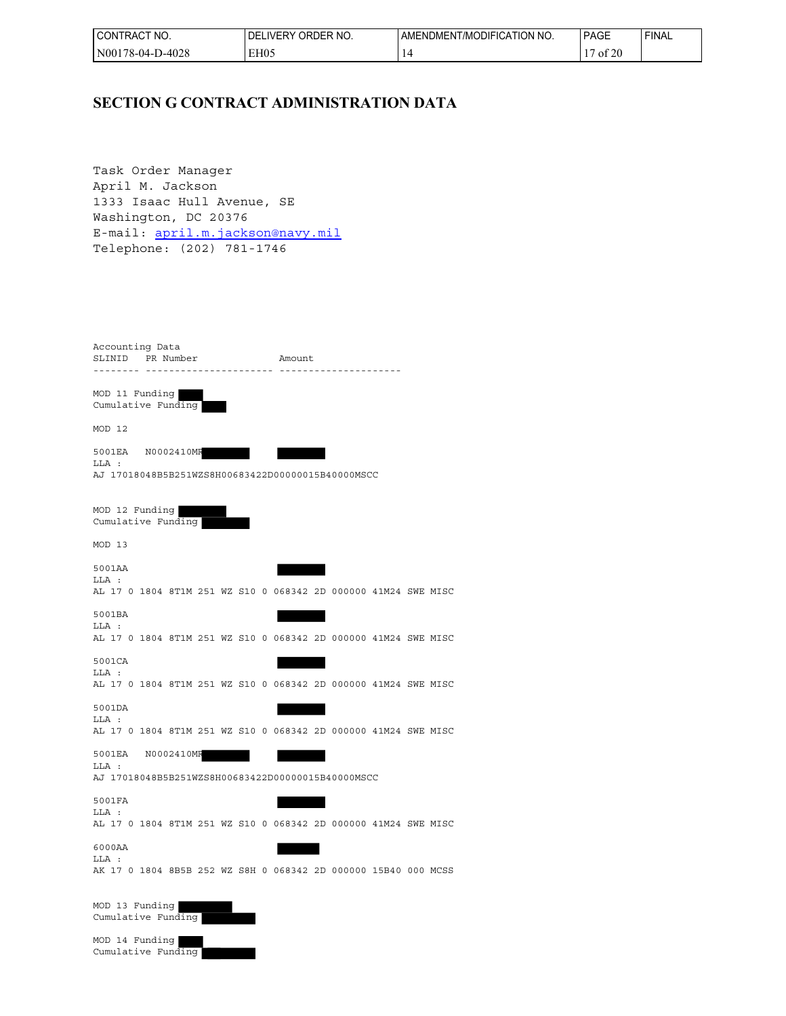| CT NO.<br>'CONTRACT   | ORDER NO.<br><b>IDELIVERY</b> | I AMENDMENT/MODIFICATION NO. | <b>PAGE</b>                                 | ' FINAL |
|-----------------------|-------------------------------|------------------------------|---------------------------------------------|---------|
| D-4028<br>N00178-04-1 | EH05                          |                              | 0.25<br>$\overline{\phantom{0}}$<br>′ of 20 |         |

# **SECTION G CONTRACT ADMINISTRATION DATA**

Task Order Manager April M. Jackson 1333 Isaac Hull Avenue, SE Washington, DC 20376 E-mail: [april.m.jackson@navy.mil](mailto:april.m.jackson@navy.mil) Telephone: (202) 781-1746

| Accounting Data<br>SLINID PR Number                                               |            |              |  | Amount |  |  |  |
|-----------------------------------------------------------------------------------|------------|--------------|--|--------|--|--|--|
| .                                                                                 |            | . <u>.</u> . |  |        |  |  |  |
| MOD 11 Funding<br>Cumulative Funding                                              |            |              |  |        |  |  |  |
| MOD 12                                                                            |            |              |  |        |  |  |  |
| 5001EA<br>LLA :<br>AJ 17018048B5B251WZS8H00683422D00000015B40000MSCC              | N0002410MR |              |  |        |  |  |  |
| MOD 12 Funding<br>Cumulative Funding                                              |            |              |  |        |  |  |  |
| MOD 13                                                                            |            |              |  |        |  |  |  |
| 5001AA<br>LLA :<br>AL 17 0 1804 8T1M 251 WZ S10 0 068342 2D 000000 41M24 SWE MISC |            |              |  |        |  |  |  |
| 5001BA<br>LLA :<br>AL 17 0 1804 8T1M 251 WZ S10 0 068342 2D 000000 41M24 SWE MISC |            |              |  |        |  |  |  |
| 5001CA<br>LLA :<br>AL 17 0 1804 8T1M 251 WZ S10 0 068342 2D 000000 41M24 SWE MISC |            |              |  |        |  |  |  |
| 5001DA<br>LLA :                                                                   |            |              |  |        |  |  |  |
| AL 17 0 1804 8T1M 251 WZ S10 0 068342 2D 000000 41M24 SWE MISC<br>5001EA          | N0002410MF |              |  |        |  |  |  |
| LLA :<br>AJ 17018048B5B251WZS8H00683422D00000015B40000MSCC                        |            |              |  |        |  |  |  |
| 5001FA<br>LLA :                                                                   |            |              |  |        |  |  |  |
| AL 17 0 1804 8T1M 251 WZ S10 0 068342 2D 000000 41M24 SWE MISC                    |            |              |  |        |  |  |  |
| 6000AA<br>LLA :                                                                   |            |              |  |        |  |  |  |
| AK 17 0 1804 8B5B 252 WZ S8H 0 068342 2D 000000 15B40 000 MCSS                    |            |              |  |        |  |  |  |
| MOD 13 Funding<br>Cumulative Funding                                              |            |              |  |        |  |  |  |

MOD 14 Funding Cumulative Funding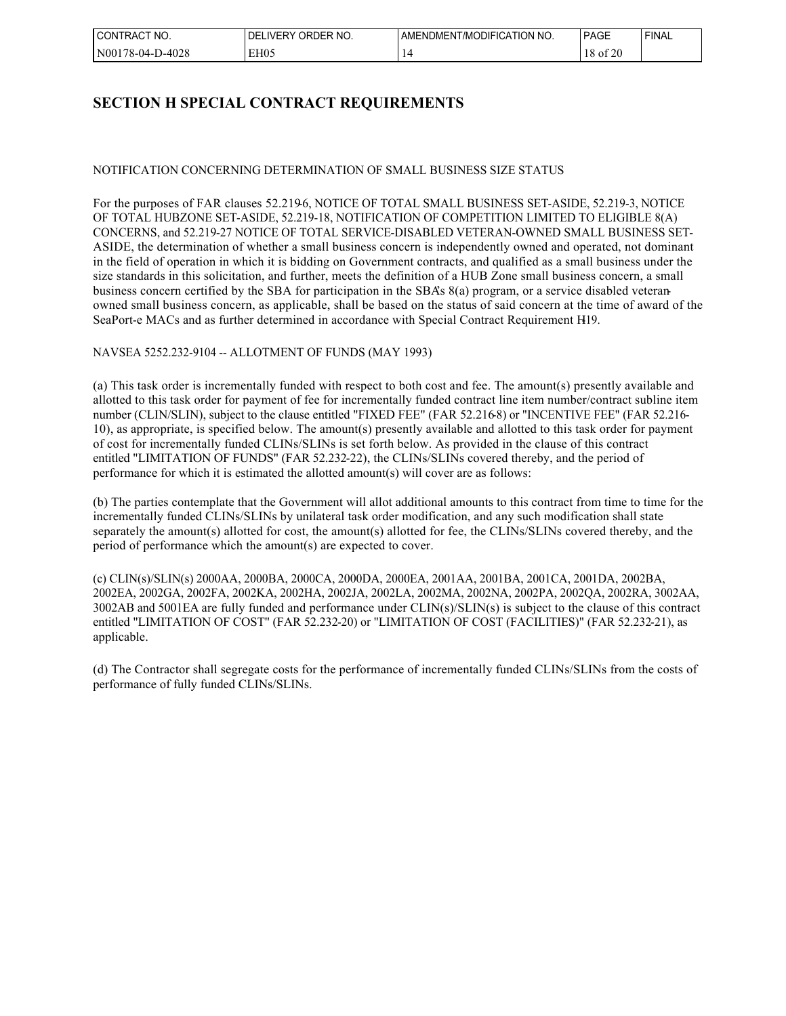| 'NO.<br>CON<br>' I RAC<br>_____             | . iVFR <sup>∨</sup><br>7FR.<br>ЭRГ<br>' NO.<br>⊣ 1.<br>`` | 'NO.<br>∴ATION<br>JDIEIC<br>l /MC<br>AMENDMEN ! | $\sim$<br>יםAG<br>______         | <b>FINAL</b> |
|---------------------------------------------|-----------------------------------------------------------|-------------------------------------------------|----------------------------------|--------------|
| N <sub>00</sub><br>000<br>78-04-l<br>2-4028 | EH05<br>. .                                               |                                                 | $\sim$ $\sim$ $\sim$<br>-01<br>້ |              |

# **SECTION H SPECIAL CONTRACT REQUIREMENTS**

## NOTIFICATION CONCERNING DETERMINATION OF SMALL BUSINESS SIZE STATUS

For the purposes of FAR clauses 52.219-6, NOTICE OF TOTAL SMALL BUSINESS SET-ASIDE, 52.219-3, NOTICE OF TOTAL HUBZONE SET-ASIDE, 52.219-18, NOTIFICATION OF COMPETITION LIMITED TO ELIGIBLE 8(A) CONCERNS, and 52.219-27 NOTICE OF TOTAL SERVICE-DISABLED VETERAN-OWNED SMALL BUSINESS SET-ASIDE, the determination of whether a small business concern is independently owned and operated, not dominant in the field of operation in which it is bidding on Government contracts, and qualified as a small business under the size standards in this solicitation, and further, meets the definition of a HUB Zone small business concern, a small business concern certified by the SBA for participation in the SBA's 8(a) program, or a service disabled veteranowned small business concern, as applicable, shall be based on the status of said concern at the time of award of the SeaPort-e MACs and as further determined in accordance with Special Contract Requirement H19.

## NAVSEA 5252.232-9104 -- ALLOTMENT OF FUNDS (MAY 1993)

(a) This task order is incrementally funded with respect to both cost and fee. The amount(s) presently available and allotted to this task order for payment of fee for incrementally funded contract line item number/contract subline item number (CLIN/SLIN), subject to the clause entitled "FIXED FEE" (FAR 52.216-8) or "INCENTIVE FEE" (FAR 52.216- 10), as appropriate, is specified below. The amount(s) presently available and allotted to this task order for payment of cost for incrementally funded CLINs/SLINs is set forth below. As provided in the clause of this contract entitled "LIMITATION OF FUNDS" (FAR 52.232-22), the CLINs/SLINs covered thereby, and the period of performance for which it is estimated the allotted amount(s) will cover are as follows:

(b) The parties contemplate that the Government will allot additional amounts to this contract from time to time for the incrementally funded CLINs/SLINs by unilateral task order modification, and any such modification shall state separately the amount(s) allotted for cost, the amount(s) allotted for fee, the CLINs/SLINs covered thereby, and the period of performance which the amount(s) are expected to cover.

(c) CLIN(s)/SLIN(s) 2000AA, 2000BA, 2000CA, 2000DA, 2000EA, 2001AA, 2001BA, 2001CA, 2001DA, 2002BA, 2002EA, 2002GA, 2002FA, 2002KA, 2002HA, 2002JA, 2002LA, 2002MA, 2002NA, 2002PA, 2002QA, 2002RA, 3002AA, 3002AB and 5001EA are fully funded and performance under CLIN(s)/SLIN(s) is subject to the clause of this contract entitled "LIMITATION OF COST" (FAR 52.232-20) or "LIMITATION OF COST (FACILITIES)" (FAR 52.232-21), as applicable.

(d) The Contractor shall segregate costs for the performance of incrementally funded CLINs/SLINs from the costs of performance of fully funded CLINs/SLINs.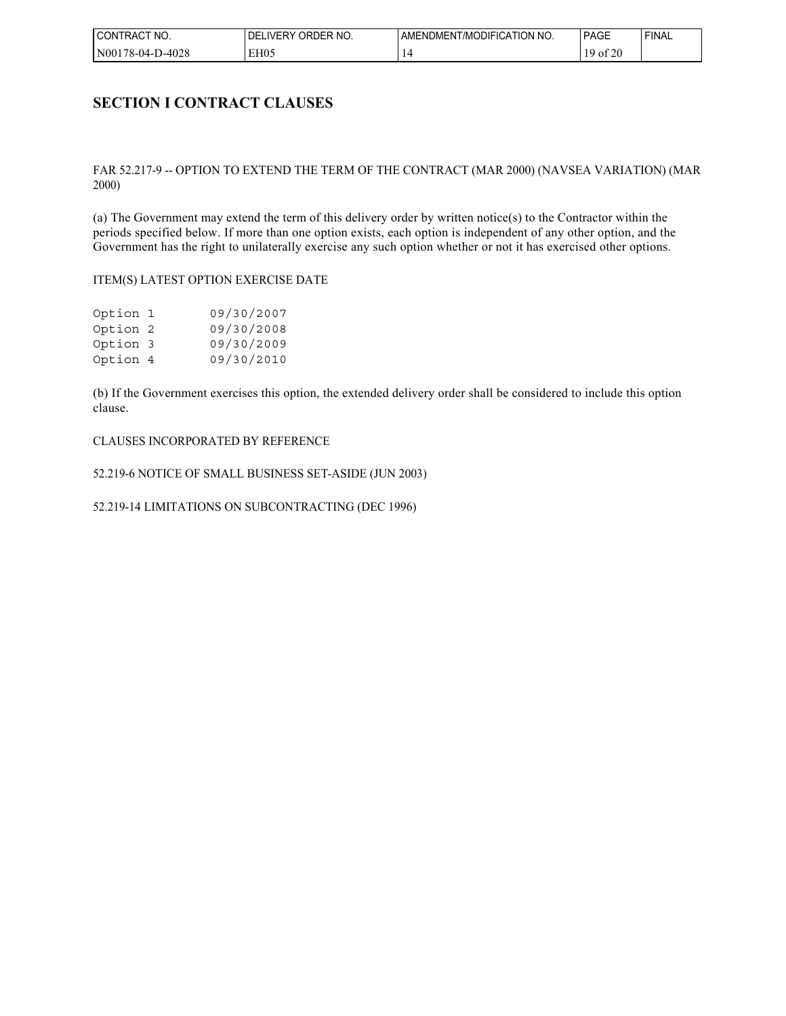| NO.<br><b>CONTRAC</b>                | ORDER NO.<br>DF<br><b>IVERY</b> | T/MODIFICATION NO.<br>AMENDMENT | <b>PAGE</b>    | <b>FINAL</b> |
|--------------------------------------|---------------------------------|---------------------------------|----------------|--------------|
| D-4028<br>N <sub>00</sub><br>78-04-1 | EH05                            |                                 | coo<br>O1<br>້ |              |

## **SECTION I CONTRACT CLAUSES**

### FAR 52.217-9 -- OPTION TO EXTEND THE TERM OF THE CONTRACT (MAR 2000) (NAVSEA VARIATION) (MAR 2000)

(a) The Government may extend the term of this delivery order by written notice(s) to the Contractor within the periods specified below. If more than one option exists, each option is independent of any other option, and the Government has the right to unilaterally exercise any such option whether or not it has exercised other options.

#### ITEM(S) LATEST OPTION EXERCISE DATE

| Option 1 | 09/30/2007 |
|----------|------------|
| Option 2 | 09/30/2008 |
| Option 3 | 09/30/2009 |
| Option 4 | 09/30/2010 |

(b) If the Government exercises this option, the extended delivery order shall be considered to include this option clause.

#### CLAUSES INCORPORATED BY REFERENCE

52.219-6 NOTICE OF SMALL BUSINESS SET-ASIDE (JUN 2003)

52.219-14 LIMITATIONS ON SUBCONTRACTING (DEC 1996)